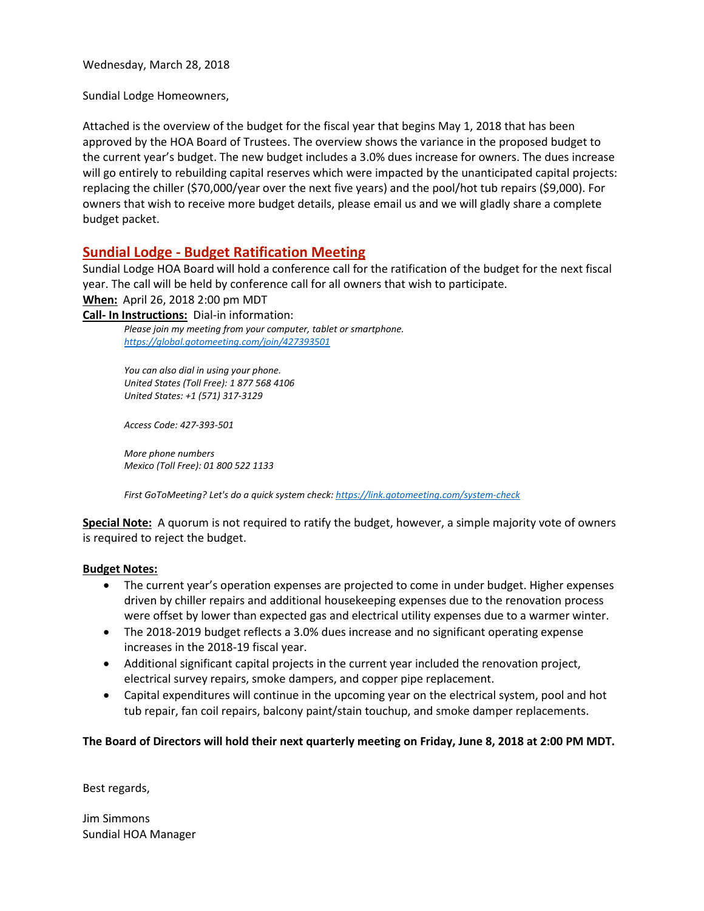Wednesday, March 28, 2018

Sundial Lodge Homeowners,

Attached is the overview of the budget for the fiscal year that begins May 1, 2018 that has been approved by the HOA Board of Trustees. The overview shows the variance in the proposed budget to the current year's budget. The new budget includes a 3.0% dues increase for owners. The dues increase will go entirely to rebuilding capital reserves which were impacted by the unanticipated capital projects: replacing the chiller (\$70,000/year over the next five years) and the pool/hot tub repairs (\$9,000). For owners that wish to receive more budget details, please email us and we will gladly share a complete budget packet.

## **Sundial Lodge - Budget Ratification Meeting**

Sundial Lodge HOA Board will hold a conference call for the ratification of the budget for the next fiscal year. The call will be held by conference call for all owners that wish to participate.

**When:** April 26, 2018 2:00 pm MDT

**Call- In Instructions:** Dial-in information:

*Please join my meeting from your computer, tablet or smartphone. <https://global.gotomeeting.com/join/427393501>*

*You can also dial in using your phone. United States (Toll Free): 1 877 568 4106 United States: +1 (571) 317-3129*

*Access Code: 427-393-501*

*More phone numbers Mexico (Toll Free): 01 800 522 1133*

*First GoToMeeting? Let's do a quick system check[: https://link.gotomeeting.com/system-check](https://link.gotomeeting.com/system-check)*

**Special Note:** A quorum is not required to ratify the budget, however, a simple majority vote of owners is required to reject the budget.

### **Budget Notes:**

- The current year's operation expenses are projected to come in under budget. Higher expenses driven by chiller repairs and additional housekeeping expenses due to the renovation process were offset by lower than expected gas and electrical utility expenses due to a warmer winter.
- The 2018-2019 budget reflects a 3.0% dues increase and no significant operating expense increases in the 2018-19 fiscal year.
- Additional significant capital projects in the current year included the renovation project, electrical survey repairs, smoke dampers, and copper pipe replacement.
- Capital expenditures will continue in the upcoming year on the electrical system, pool and hot tub repair, fan coil repairs, balcony paint/stain touchup, and smoke damper replacements.

### **The Board of Directors will hold their next quarterly meeting on Friday, June 8, 2018 at 2:00 PM MDT.**

Best regards,

Jim Simmons Sundial HOA Manager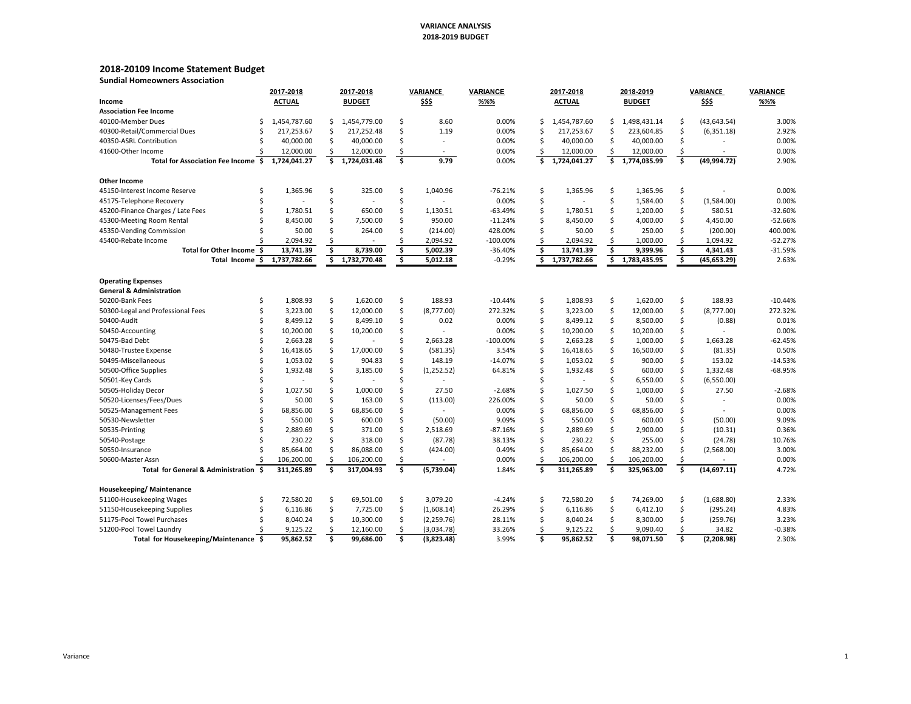### **VARIANCE ANALYSIS2018‐2019 BUDGET**

### **2018‐20109 Income Statement Budget**

**Sundial Homeowners Association**

|                                       |   | 2017-2018     |     | 2017-2018     |                         | VARIANCE    | <b>VARIANCE</b> |                         | 2017-2018     |    | 2018-2019     |                         | <b>VARIANCE</b> | VARIANCE  |
|---------------------------------------|---|---------------|-----|---------------|-------------------------|-------------|-----------------|-------------------------|---------------|----|---------------|-------------------------|-----------------|-----------|
| Income                                |   | <b>ACTUAL</b> |     | <b>BUDGET</b> |                         | \$\$\$      | %%%             |                         | <b>ACTUAL</b> |    | <b>BUDGET</b> |                         | \$\$\$          | %%%       |
| <b>Association Fee Income</b>         |   |               |     |               |                         |             |                 |                         |               |    |               |                         |                 |           |
| 40100-Member Dues                     | Ś | 1,454,787.60  | \$. | 1,454,779.00  | \$                      | 8.60        | 0.00%           | Ŝ                       | 1,454,787.60  | Ś  | 1,498,431.14  | \$                      | (43, 643.54)    | 3.00%     |
| 40300-Retail/Commercial Dues          | Ś | 217,253.67    | Ś   | 217,252.48    | \$                      | 1.19        | 0.00%           | Ŝ.                      | 217,253.67    |    | 223,604.85    | \$                      | (6,351.18)      | 2.92%     |
| 40350-ASRL Contribution               |   | 40,000.00     | Ś   | 40,000.00     | Ś                       | ÷.          | 0.00%           |                         | 40,000.00     | Ś  | 40,000.00     | Ś                       |                 | 0.00%     |
| 41600-Other Income                    |   | 12,000.00     | \$  | 12,000.00     | \$                      | $\sim$      | 0.00%           | \$                      | 12,000.00     | \$ | 12,000.00     | \$                      | $\sim$          | 0.00%     |
| Total for Association Fee Income \$   |   | 1,724,041.27  | Ś.  | 1,724,031.48  | \$                      | 9.79        | 0.00%           | Ś.                      | 1,724,041.27  | Ś. | 1,774,035.99  | Ś.                      | (49, 994.72)    | 2.90%     |
| Other Income                          |   |               |     |               |                         |             |                 |                         |               |    |               |                         |                 |           |
| 45150-Interest Income Reserve         |   | 1,365.96      | Ś   | 325.00        | Ś                       | 1,040.96    | $-76.21%$       | \$                      | 1,365.96      | Ŝ  | 1,365.96      | Ś                       |                 | 0.00%     |
| 45175-Telephone Recovery              |   |               | Ś   |               | \$                      |             | 0.00%           | Ś                       |               | Ś  | 1,584.00      | Ś                       | (1,584.00)      | 0.00%     |
| 45200-Finance Charges / Late Fees     |   | 1,780.51      | Ś   | 650.00        | Ś                       | 1,130.51    | $-63.49%$       | Ś                       | 1,780.51      |    | 1,200.00      | Ś                       | 580.51          | -32.60%   |
| 45300-Meeting Room Rental             |   | 8,450.00      | Ś   | 7,500.00      | \$                      | 950.00      | $-11.24%$       |                         | 8,450.00      |    | 4,000.00      | \$                      | 4,450.00        | $-52.66%$ |
| 45350-Vending Commission              |   | 50.00         | Ś   | 264.00        | Ś                       | (214.00)    | 428.00%         |                         | 50.00         | Ś  | 250.00        | Ś                       | (200.00)        | 400.00%   |
| 45400-Rebate Income                   |   | 2,094.92      |     |               | Ś                       | 2,094.92    | -100.00%        |                         | 2,094.92      |    | 1,000.00      | \$                      | 1,094.92        | $-52.27%$ |
| Total for Other Income \$             |   | 13,741.39     | Ś   | 8,739.00      | $\overline{\mathsf{s}}$ | 5,002.39    | $-36.40%$       | $\overline{\mathsf{s}}$ | 13,741.39     | Ś  | 9,399.96      | $\overline{\mathsf{s}}$ | 4,341.43        | $-31.59%$ |
| Total Income \$                       |   | 1,737,782.66  | \$  | 1,732,770.48  | \$                      | 5,012.18    | $-0.29%$        | \$                      | 1,737,782.66  | \$ | 1,783,435.95  | Ś                       | (45, 653.29)    | 2.63%     |
| <b>Operating Expenses</b>             |   |               |     |               |                         |             |                 |                         |               |    |               |                         |                 |           |
| <b>General &amp; Administration</b>   |   |               |     |               |                         |             |                 |                         |               |    |               |                         |                 |           |
| 50200-Bank Fees                       | Ś | 1,808.93      | \$  | 1,620.00      | \$                      | 188.93      | $-10.44%$       | Ŝ                       | 1,808.93      | Ś  | 1,620.00      | \$                      | 188.93          | $-10.44%$ |
| 50300-Legal and Professional Fees     |   | 3,223.00      | \$  | 12,000.00     | Ś                       | (8,777.00)  | 272.32%         | ς                       | 3,223.00      | Ś  | 12,000.00     | Ś                       | (8,777.00)      | 272.32%   |
| 50400-Audit                           |   | 8,499.12      | Ś   | 8,499.10      | \$                      | 0.02        | 0.00%           | Ŝ.                      | 8,499.12      | Ś  | 8,500.00      | \$                      | (0.88)          | 0.01%     |
| 50450-Accounting                      |   | 10,200.00     | Ś   | 10,200.00     | \$                      |             | 0.00%           | Ś                       | 10,200.00     |    | 10,200.00     | \$                      |                 | 0.00%     |
| 50475-Bad Debt                        |   | 2,663.28      | Ś   |               | \$                      | 2,663.28    | $-100.00\%$     |                         | 2,663.28      | Ś  | 1,000.00      | Ś                       | 1,663.28        | $-62.45%$ |
| 50480-Trustee Expense                 |   | 16,418.65     |     | 17,000.00     | \$                      | (581.35)    | 3.54%           |                         | 16,418.65     |    | 16,500.00     | \$                      | (81.35)         | 0.50%     |
| 50495-Miscellaneous                   |   | 1,053.02      |     | 904.83        | Ś                       | 148.19      | $-14.07%$       |                         | 1,053.02      |    | 900.00        | Ś                       | 153.02          | $-14.53%$ |
| 50500-Office Supplies                 |   | 1,932.48      | Ś   | 3,185.00      | Ś                       | (1,252.52)  | 64.81%          |                         | 1,932.48      | Ŝ  | 600.00        | Ś                       | 1,332.48        | $-68.95%$ |
| 50501-Key Cards                       |   |               |     |               | Ś                       |             |                 |                         |               | Ś  | 6,550.00      | Ś                       | (6,550.00)      |           |
| 50505-Holiday Decor                   |   | 1,027.50      | Ś   | 1,000.00      | Ś                       | 27.50       | $-2.68%$        |                         | 1,027.50      |    | 1,000.00      | Ś                       | 27.50           | $-2.68%$  |
| 50520-Licenses/Fees/Dues              |   | 50.00         | Ś   | 163.00        | Ś                       | (113.00)    | 226.00%         |                         | 50.00         | Ŝ  | 50.00         | Ś                       |                 | 0.00%     |
| 50525-Management Fees                 |   | 68,856.00     | Ś   | 68,856.00     | \$                      |             | 0.00%           | Ś                       | 68,856.00     |    | 68,856.00     | Ś                       |                 | 0.00%     |
| 50530-Newsletter                      |   | 550.00        | Ś   | 600.00        | \$                      | (50.00)     | 9.09%           |                         | 550.00        | ς. | 600.00        | Ś                       | (50.00)         | 9.09%     |
| 50535-Printing                        |   | 2,889.69      | Ś   | 371.00        | Ś                       | 2,518.69    | $-87.16%$       |                         | 2,889.69      |    | 2,900.00      | Ś                       | (10.31)         | 0.36%     |
| 50540-Postage                         |   | 230.22        | Ś   | 318.00        | \$                      | (87.78)     | 38.13%          |                         | 230.22        | Ś  | 255.00        | Ś                       | (24.78)         | 10.76%    |
| 50550-Insurance                       |   | 85,664.00     | Ś   | 86,088.00     | \$                      | (424.00)    | 0.49%           |                         | 85,664.00     | Ś  | 88,232.00     | Ś                       | (2,568.00)      | 3.00%     |
| 50600-Master Assn                     |   | 106,200.00    |     | 106,200.00    | \$                      |             | 0.00%           |                         | 106,200.00    |    | 106,200.00    |                         |                 | 0.00%     |
| Total for General & Administration \$ |   | 311.265.89    | \$  | 317.004.93    | Ś.                      | (5,739.04)  | 1.84%           | \$                      | 311,265.89    | Ś  | 325,963.00    | Ś.                      | (14, 697.11)    | 4.72%     |
|                                       |   |               |     |               |                         |             |                 |                         |               |    |               |                         |                 |           |
| Housekeeping/Maintenance              |   |               |     |               |                         |             |                 |                         |               |    |               |                         |                 |           |
| 51100-Housekeeping Wages              | Ś | 72,580.20     | Ś   | 69,501.00     | \$                      | 3,079.20    | $-4.24%$        | \$                      | 72,580.20     | S  | 74,269.00     | \$                      | (1,688.80)      | 2.33%     |
| 51150-Housekeeping Supplies           |   | 6,116.86      | Ś   | 7,725.00      | \$                      | (1,608.14)  | 26.29%          |                         | 6,116.86      | Ś  | 6,412.10      | Ś                       | (295.24)        | 4.83%     |
| 51175-Pool Towel Purchases            |   | 8,040.24      | Ś   | 10,300.00     | Ś                       | (2, 259.76) | 28.11%          |                         | 8,040.24      |    | 8,300.00      | Ś                       | (259.76)        | 3.23%     |
| 51200-Pool Towel Laundry              |   | 9,125.22      |     | 12,160.00     | \$                      | (3,034.78)  | 33.26%          |                         | 9,125.22      |    | 9,090.40      |                         | 34.82           | $-0.38%$  |
| Total for Housekeeping/Maintenance \$ |   | 95,862.52     | Ś   | 99,686.00     | Ś.                      | (3,823.48)  | 3.99%           | \$                      | 95,862.52     | \$ | 98,071.50     | Ś                       | (2,208.98)      | 2.30%     |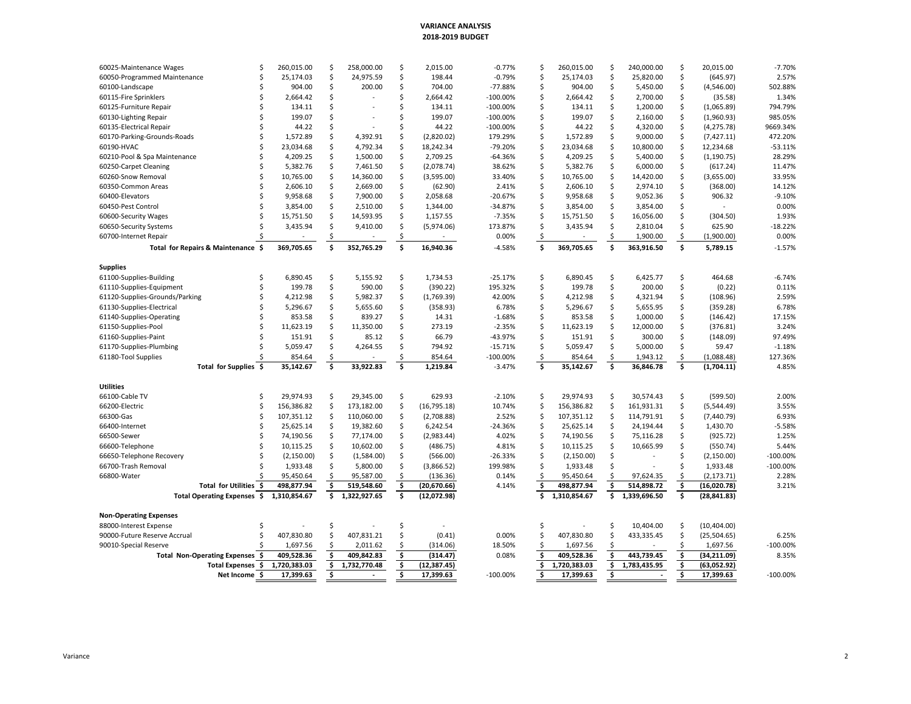### **VARIANCE ANALYSIS2018‐2019 BUDGET**

| 25,174.03<br>Ś<br>24,975.59<br>\$<br>198.44<br>Ś<br>Ś<br>\$<br>2.57%<br>60050-Programmed Maintenance<br>Ś<br>-0.79%<br>25,174.03<br>25,820.00<br>(645.97)<br>Ś<br>\$<br>\$<br>\$<br>904.00<br>200.00<br>704.00<br>$-77.88%$<br>Ś<br>904.00<br>5,450.00<br>502.88%<br>60100-Landscape<br>(4,546.00)<br>\$<br>1.34%<br>Ś<br>2,664.42<br>ς.<br>2,664.42<br>$-100.00\%$<br>Ś<br>2,664.42<br>\$<br>2,700.00<br>\$<br>(35.58)<br>60115-Fire Sprinklers<br>794.79%<br>60125-Furniture Repair<br>134.11<br>Ś<br>Ś<br>134.11<br>$-100.00%$<br>134.11<br>Ś<br>1,200.00<br>\$<br>(1,065.89)<br>Ŝ<br>Ś<br>Ś<br>199.07<br>\$<br>\$<br>985.05%<br>199.07<br>$-100.00%$<br>Ś<br>199.07<br>2,160.00<br>(1,960.93)<br>60130-Lighting Repair<br>S<br>44.22<br>\$<br>9669.34%<br>60135-Electrical Repair<br>44.22<br>Ś<br>Ś<br>$-100.00\%$<br>Ś<br>44.22<br>\$<br>4,320.00<br>(4, 275.78)<br>Ś<br>4,392.91<br>\$<br>(2,820.02)<br>179.29%<br>Ś<br>Ś<br>9,000.00<br>\$<br>472.20%<br>60170-Parking-Grounds-Roads<br>Ś<br>1,572.89<br>1,572.89<br>(7, 427.11)<br>4,792.34<br>\$<br>-79.20%<br>10,800.00<br>\$<br>$-53.11%$<br>60190-HVAC<br>23,034.68<br>Ŝ<br>18,242.34<br>Ŝ<br>23,034.68<br>Ŝ<br>12,234.68<br>Ś<br>\$<br>\$<br>4,209.25<br>2,709.25<br>Ś<br>4,209.25<br>Ś<br>28.29%<br>60210-Pool & Spa Maintenance<br>1,500.00<br>-64.36%<br>5,400.00<br>(1, 190.75)<br>\$<br>\$<br>11.47%<br>5,382.76<br>Ś<br>7,461.50<br>(2,078.74)<br>38.62%<br>Ś<br>5,382.76<br>\$<br>6,000.00<br>60250-Carpet Cleaning<br>(617.24)<br>33.95%<br>60260-Snow Removal<br>Ś<br>10,765.00<br>Ś<br>14,360.00<br>\$<br>(3,595.00)<br>33.40%<br>Ś<br>10,765.00<br>\$<br>14,420.00<br>\$<br>(3,655.00)<br>Ś<br>14.12%<br>60350-Common Areas<br>Ś<br>2,606.10<br>2,669.00<br>\$<br>(62.90)<br>2.41%<br>Ś<br>2,606.10<br>\$<br>2,974.10<br>\$<br>(368.00)<br>$-9.10%$<br>60400-Elevators<br>9,958.68<br>Ś<br>7,900.00<br>\$<br>2,058.68<br>$-20.67%$<br>Ś<br>9,958.68<br>\$<br>9,052.36<br>\$<br>906.32<br>Ś<br>Ś<br>\$<br>$-34.87%$<br>Ś<br>\$<br>0.00%<br>60450-Pest Control<br>3,854.00<br>2,510.00<br>1,344.00<br>Ś<br>3,854.00<br>3,854.00<br>\$<br>$-7.35%$<br>\$<br>1.93%<br>60600-Security Wages<br>15,751.50<br>Ŝ<br>14,593.95<br>1,157.55<br>Ŝ<br>15,751.50<br>Ŝ<br>16,056.00<br>(304.50)<br>Ś<br>\$<br>\$<br>Ś<br>\$<br>625.90<br>$-18.22%$<br>60650-Security Systems<br>3,435.94<br>9,410.00<br>(5,974.06)<br>173.87%<br>3,435.94<br>2,810.04<br>0.00%<br>\$<br>0.00%<br>\$<br>\$<br>(1,900.00)<br>60700-Internet Repair<br>Ŝ<br>1,900.00<br>Ś<br>Ś<br>\$.<br>Ś<br>Ś<br>369,705.65<br>352,765.29<br>16,940.36<br>369,705.65<br>363,916.50<br>Total for Repairs & Maintenance \$<br>$-4.58%$<br>5,789.15<br>$-1.57%$<br><b>Supplies</b><br>\$<br>1,734.53<br>$-25.17%$<br>6,425.77<br>\$<br>464.68<br>$-6.74%$<br>61100-Supplies-Building<br>6.890.45<br>Ś<br>5,155.92<br>Ś<br>6,890.45<br>\$<br>Ś<br>\$<br>590.00<br>\$<br>(390.22)<br>195.32%<br>\$<br>200.00<br>\$<br>0.11%<br>61110-Supplies-Equipment<br>Ś<br>199.78<br>Ś<br>199.78<br>(0.22)<br>\$<br>\$<br>5,982.37<br>\$<br>42.00%<br>Ś<br>\$<br>(108.96)<br>2.59%<br>61120-Supplies-Grounds/Parking<br>4,212.98<br>(1,769.39)<br>4,212.98<br>4,321.94<br>5,296.67<br>Ś<br>5,655.60<br>\$<br>(358.93)<br>6.78%<br>Ś<br>5,296.67<br>Ś<br>5,655.95<br>\$<br>(359.28)<br>6.78%<br>61130-Supplies-Electrical<br>\$<br>853.58<br>Ś<br>839.27<br>\$<br>$-1.68%$<br>853.58<br>Ś<br>17.15%<br>61140-Supplies-Operating<br>14.31<br>Ŝ<br>1,000.00<br>(146.42)<br>Ś<br>Ś<br>\$<br>3.24%<br>Ś<br>11,350.00<br>\$<br>273.19<br>$-2.35%$<br>61150-Supplies-Pool<br>11,623.19<br>11,623.19<br>12,000.00<br>(376.81)<br>\$<br>\$<br>Ś<br>Ś.<br>\$<br>97.49%<br>151.91<br>66.79<br>-43.97%<br>151.91<br>61160-Supplies-Paint<br>85.12<br>300.00<br>(148.09)<br>Ś<br>Ś.<br>794.92<br>$-15.71%$<br>Ś<br>5,059.47<br>Ś.<br>5,000.00<br>\$<br>$-1.18%$<br>61170-Supplies-Plumbing<br>5,059.47<br>4,264.55<br>59.47<br>$-100.00%$<br>\$<br>127.36%<br>61180-Tool Supplies<br>854.64<br>854.64<br>\$<br>854.64<br>1,943.12<br>(1,088.48)<br>\$<br>\$<br>\$<br>\$<br>\$<br>\$<br>\$<br>35,142.67<br>33,922.83<br>1,219.84<br>35,142.67<br>\$<br>36,846.78<br>Total for Supplies \$<br>$-3.47%$<br>(1,704.11)<br>4.85%<br>Utilities<br>66100-Cable TV<br>29,974.93<br>29,345.00<br>\$<br>629.93<br>$-2.10%$<br>Ś<br>29,974.93<br>30,574.43<br>\$<br>(599.50)<br>2.00%<br>Ś<br>Ŝ<br>Ŝ.<br>\$<br>\$<br>\$<br>\$<br>66200-Electric<br>Ś<br>156,386.82<br>173,182.00<br>(16, 795.18)<br>10.74%<br>Ś<br>156,386.82<br>161,931.31<br>3.55%<br>(5,544.49)<br>Ś<br>Ś<br>110,060.00<br>\$<br>2.52%<br>Ś<br>Ś<br>114,791.91<br>\$<br>6.93%<br>66300-Gas<br>107,351.12<br>(2,708.88)<br>107,351.12<br>(7,440.79)<br>25,625.14<br>19,382.60<br>\$<br>$-24.36%$<br>25,625.14<br>24,194.44<br>\$<br>$-5.58%$<br>66400-Internet<br>Ś<br>6,242.54<br>Ś<br>\$<br>1,430.70<br>Ś<br>\$<br>4.02%<br>Ś<br>\$<br>1.25%<br>66500-Sewer<br>Ś<br>74,190.56<br>77,174.00<br>(2,983.44)<br>Ŝ<br>74,190.56<br>75,116.28<br>(925.72)<br>Ś<br>10,602.00<br>4.81%<br>10,665.99<br>\$<br>5.44%<br>66600-Telephone<br>10,115.25<br>\$<br>(486.75)<br>Ŝ<br>10,115.25<br>Ŝ<br>(550.74)<br>(2, 150.00)<br>\$<br>\$<br>$-26.33%$<br>Ś<br>Ś<br>(2, 150.00)<br>$-100.00%$<br>66650-Telephone Recovery<br>(1,584.00)<br>(566.00)<br>Ŝ<br>(2, 150.00)<br>66700-Trash Removal<br>5,800.00<br>\$<br>199.98%<br>Ś<br>1,933.48<br>$-100.00%$<br>1,933.48<br>Ŝ<br>(3,866.52)<br>1,933.48<br>\$<br>\$<br>\$<br>66800-Water<br>0.14%<br>\$<br>\$<br>2.28%<br>95,450.64<br>95,587.00<br>(136.36)<br>95,450.64<br>97,624.35<br>(2, 173.71)<br>\$<br>\$<br>\$<br>Total for Utilities \$<br>498,877.94<br>\$<br>519,548.60<br>498,877.94<br>\$<br>514,898.72<br>3.21%<br>(20, 670.66)<br>4.14%<br>(16,020.78)<br>$\overline{\mathsf{s}}$<br>$\overline{\mathsf{s}}$<br>ś<br>$\overline{\mathsf{s}}$<br>Ś.<br>Total Operating Expenses \$<br>1,310,854.67<br>1,322,927.65<br>(12,072.98)<br>1,310,854.67<br>1.339.696.50<br>(28, 841.83)<br><b>Non-Operating Expenses</b><br>\$<br>Ś<br>\$<br>10,404.00<br>(10, 404.00)<br>88000-Interest Expense<br>Ś<br>Ŝ<br>Ŝ<br>407,830.80<br>407,831.21<br>\$<br>(0.41)<br>0.00%<br>407,830.80<br>433,335.45<br>\$<br>6.25%<br>90000-Future Reserve Accrual<br>Ŝ<br>Ŝ<br>(25,504.65)<br>\$<br>1,697.56<br>\$<br>18.50%<br>\$<br>\$<br>\$<br>1,697.56<br>$-100.00%$<br>90010-Special Reserve<br>2,011.62<br>(314.06)<br>1,697.56<br>\$<br>\$<br>409,528.36<br>\$<br>409,842.83<br>0.08%<br>409,528.36<br>\$<br>443,739.45<br>\$<br>(34, 211.09)<br>Total Non-Operating Expenses \$<br>(314.47)<br>8.35%<br>\$<br>\$<br>Total Expenses \$<br>1,720,383.03<br>\$<br>1,732,770.48<br>\$<br>1,720,383.03<br>\$<br>1,783,435.95<br>(12, 387.45)<br>(63,052.92)<br>\$<br>\$<br>17,399.63<br>\$<br>17,399.63<br>Ś<br>17,399.63<br>\$<br>17,399.63<br>Net Income \$<br>$-100.00\%$<br>$-100.00%$ | 60025-Maintenance Wages | \$<br>260,015.00 | S | 258,000.00 | \$<br>2,015.00 | $-0.77\%$ | \$<br>260,015.00 | S | 240,000.00 | \$<br>20,015.00 | $-7.70%$ |
|---------------------------------------------------------------------------------------------------------------------------------------------------------------------------------------------------------------------------------------------------------------------------------------------------------------------------------------------------------------------------------------------------------------------------------------------------------------------------------------------------------------------------------------------------------------------------------------------------------------------------------------------------------------------------------------------------------------------------------------------------------------------------------------------------------------------------------------------------------------------------------------------------------------------------------------------------------------------------------------------------------------------------------------------------------------------------------------------------------------------------------------------------------------------------------------------------------------------------------------------------------------------------------------------------------------------------------------------------------------------------------------------------------------------------------------------------------------------------------------------------------------------------------------------------------------------------------------------------------------------------------------------------------------------------------------------------------------------------------------------------------------------------------------------------------------------------------------------------------------------------------------------------------------------------------------------------------------------------------------------------------------------------------------------------------------------------------------------------------------------------------------------------------------------------------------------------------------------------------------------------------------------------------------------------------------------------------------------------------------------------------------------------------------------------------------------------------------------------------------------------------------------------------------------------------------------------------------------------------------------------------------------------------------------------------------------------------------------------------------------------------------------------------------------------------------------------------------------------------------------------------------------------------------------------------------------------------------------------------------------------------------------------------------------------------------------------------------------------------------------------------------------------------------------------------------------------------------------------------------------------------------------------------------------------------------------------------------------------------------------------------------------------------------------------------------------------------------------------------------------------------------------------------------------------------------------------------------------------------------------------------------------------------------------------------------------------------------------------------------------------------------------------------------------------------------------------------------------------------------------------------------------------------------------------------------------------------------------------------------------------------------------------------------------------------------------------------------------------------------------------------------------------------------------------------------------------------------------------------------------------------------------------------------------------------------------------------------------------------------------------------------------------------------------------------------------------------------------------------------------------------------------------------------------------------------------------------------------------------------------------------------------------------------------------------------------------------------------------------------------------------------------------------------------------------------------------------------------------------------------------------------------------------------------------------------------------------------------------------------------------------------------------------------------------------------------------------------------------------------------------------------------------------------------------------------------------------------------------------------------------------------------------------------------------------------------------------------------------------------------------------------------------------------------------------------------------------------------------------------------------------------------------------------------------------------------------------------------------------------------------------------------------------------------------------------------------------------------------------------------------------------------------------------------------------------------------------------------------------------------------------------------------------------------------------------------------------------------------------------------------------------------------------------------------------------------------------------------------------------------------------------------------------------------------------------------------------------------------------------------------------------------------------------------------------------------------------------------------------------------------------------------------------------------------------------------------------------------------------------------------------------------------------------------------------------------------------------------------------------------------------------------------------------------------------------------------------------------------------------------------------------------------------------------------------------------------------------------------------------------------|-------------------------|------------------|---|------------|----------------|-----------|------------------|---|------------|-----------------|----------|
|                                                                                                                                                                                                                                                                                                                                                                                                                                                                                                                                                                                                                                                                                                                                                                                                                                                                                                                                                                                                                                                                                                                                                                                                                                                                                                                                                                                                                                                                                                                                                                                                                                                                                                                                                                                                                                                                                                                                                                                                                                                                                                                                                                                                                                                                                                                                                                                                                                                                                                                                                                                                                                                                                                                                                                                                                                                                                                                                                                                                                                                                                                                                                                                                                                                                                                                                                                                                                                                                                                                                                                                                                                                                                                                                                                                                                                                                                                                                                                                                                                                                                                                                                                                                                                                                                                                                                                                                                                                                                                                                                                                                                                                                                                                                                                                                                                                                                                                                                                                                                                                                                                                                                                                                                                                                                                                                                                                                                                                                                                                                                                                                                                                                                                                                                                                                                                                                                                                                                                                                                                                                                                                                                                                                                                                                                                                                                                                                                                                                                                                                                                                                                                                                                                                                                                                                                                                                           |                         |                  |   |            |                |           |                  |   |            |                 |          |
|                                                                                                                                                                                                                                                                                                                                                                                                                                                                                                                                                                                                                                                                                                                                                                                                                                                                                                                                                                                                                                                                                                                                                                                                                                                                                                                                                                                                                                                                                                                                                                                                                                                                                                                                                                                                                                                                                                                                                                                                                                                                                                                                                                                                                                                                                                                                                                                                                                                                                                                                                                                                                                                                                                                                                                                                                                                                                                                                                                                                                                                                                                                                                                                                                                                                                                                                                                                                                                                                                                                                                                                                                                                                                                                                                                                                                                                                                                                                                                                                                                                                                                                                                                                                                                                                                                                                                                                                                                                                                                                                                                                                                                                                                                                                                                                                                                                                                                                                                                                                                                                                                                                                                                                                                                                                                                                                                                                                                                                                                                                                                                                                                                                                                                                                                                                                                                                                                                                                                                                                                                                                                                                                                                                                                                                                                                                                                                                                                                                                                                                                                                                                                                                                                                                                                                                                                                                                           |                         |                  |   |            |                |           |                  |   |            |                 |          |
|                                                                                                                                                                                                                                                                                                                                                                                                                                                                                                                                                                                                                                                                                                                                                                                                                                                                                                                                                                                                                                                                                                                                                                                                                                                                                                                                                                                                                                                                                                                                                                                                                                                                                                                                                                                                                                                                                                                                                                                                                                                                                                                                                                                                                                                                                                                                                                                                                                                                                                                                                                                                                                                                                                                                                                                                                                                                                                                                                                                                                                                                                                                                                                                                                                                                                                                                                                                                                                                                                                                                                                                                                                                                                                                                                                                                                                                                                                                                                                                                                                                                                                                                                                                                                                                                                                                                                                                                                                                                                                                                                                                                                                                                                                                                                                                                                                                                                                                                                                                                                                                                                                                                                                                                                                                                                                                                                                                                                                                                                                                                                                                                                                                                                                                                                                                                                                                                                                                                                                                                                                                                                                                                                                                                                                                                                                                                                                                                                                                                                                                                                                                                                                                                                                                                                                                                                                                                           |                         |                  |   |            |                |           |                  |   |            |                 |          |
|                                                                                                                                                                                                                                                                                                                                                                                                                                                                                                                                                                                                                                                                                                                                                                                                                                                                                                                                                                                                                                                                                                                                                                                                                                                                                                                                                                                                                                                                                                                                                                                                                                                                                                                                                                                                                                                                                                                                                                                                                                                                                                                                                                                                                                                                                                                                                                                                                                                                                                                                                                                                                                                                                                                                                                                                                                                                                                                                                                                                                                                                                                                                                                                                                                                                                                                                                                                                                                                                                                                                                                                                                                                                                                                                                                                                                                                                                                                                                                                                                                                                                                                                                                                                                                                                                                                                                                                                                                                                                                                                                                                                                                                                                                                                                                                                                                                                                                                                                                                                                                                                                                                                                                                                                                                                                                                                                                                                                                                                                                                                                                                                                                                                                                                                                                                                                                                                                                                                                                                                                                                                                                                                                                                                                                                                                                                                                                                                                                                                                                                                                                                                                                                                                                                                                                                                                                                                           |                         |                  |   |            |                |           |                  |   |            |                 |          |
|                                                                                                                                                                                                                                                                                                                                                                                                                                                                                                                                                                                                                                                                                                                                                                                                                                                                                                                                                                                                                                                                                                                                                                                                                                                                                                                                                                                                                                                                                                                                                                                                                                                                                                                                                                                                                                                                                                                                                                                                                                                                                                                                                                                                                                                                                                                                                                                                                                                                                                                                                                                                                                                                                                                                                                                                                                                                                                                                                                                                                                                                                                                                                                                                                                                                                                                                                                                                                                                                                                                                                                                                                                                                                                                                                                                                                                                                                                                                                                                                                                                                                                                                                                                                                                                                                                                                                                                                                                                                                                                                                                                                                                                                                                                                                                                                                                                                                                                                                                                                                                                                                                                                                                                                                                                                                                                                                                                                                                                                                                                                                                                                                                                                                                                                                                                                                                                                                                                                                                                                                                                                                                                                                                                                                                                                                                                                                                                                                                                                                                                                                                                                                                                                                                                                                                                                                                                                           |                         |                  |   |            |                |           |                  |   |            |                 |          |
|                                                                                                                                                                                                                                                                                                                                                                                                                                                                                                                                                                                                                                                                                                                                                                                                                                                                                                                                                                                                                                                                                                                                                                                                                                                                                                                                                                                                                                                                                                                                                                                                                                                                                                                                                                                                                                                                                                                                                                                                                                                                                                                                                                                                                                                                                                                                                                                                                                                                                                                                                                                                                                                                                                                                                                                                                                                                                                                                                                                                                                                                                                                                                                                                                                                                                                                                                                                                                                                                                                                                                                                                                                                                                                                                                                                                                                                                                                                                                                                                                                                                                                                                                                                                                                                                                                                                                                                                                                                                                                                                                                                                                                                                                                                                                                                                                                                                                                                                                                                                                                                                                                                                                                                                                                                                                                                                                                                                                                                                                                                                                                                                                                                                                                                                                                                                                                                                                                                                                                                                                                                                                                                                                                                                                                                                                                                                                                                                                                                                                                                                                                                                                                                                                                                                                                                                                                                                           |                         |                  |   |            |                |           |                  |   |            |                 |          |
|                                                                                                                                                                                                                                                                                                                                                                                                                                                                                                                                                                                                                                                                                                                                                                                                                                                                                                                                                                                                                                                                                                                                                                                                                                                                                                                                                                                                                                                                                                                                                                                                                                                                                                                                                                                                                                                                                                                                                                                                                                                                                                                                                                                                                                                                                                                                                                                                                                                                                                                                                                                                                                                                                                                                                                                                                                                                                                                                                                                                                                                                                                                                                                                                                                                                                                                                                                                                                                                                                                                                                                                                                                                                                                                                                                                                                                                                                                                                                                                                                                                                                                                                                                                                                                                                                                                                                                                                                                                                                                                                                                                                                                                                                                                                                                                                                                                                                                                                                                                                                                                                                                                                                                                                                                                                                                                                                                                                                                                                                                                                                                                                                                                                                                                                                                                                                                                                                                                                                                                                                                                                                                                                                                                                                                                                                                                                                                                                                                                                                                                                                                                                                                                                                                                                                                                                                                                                           |                         |                  |   |            |                |           |                  |   |            |                 |          |
|                                                                                                                                                                                                                                                                                                                                                                                                                                                                                                                                                                                                                                                                                                                                                                                                                                                                                                                                                                                                                                                                                                                                                                                                                                                                                                                                                                                                                                                                                                                                                                                                                                                                                                                                                                                                                                                                                                                                                                                                                                                                                                                                                                                                                                                                                                                                                                                                                                                                                                                                                                                                                                                                                                                                                                                                                                                                                                                                                                                                                                                                                                                                                                                                                                                                                                                                                                                                                                                                                                                                                                                                                                                                                                                                                                                                                                                                                                                                                                                                                                                                                                                                                                                                                                                                                                                                                                                                                                                                                                                                                                                                                                                                                                                                                                                                                                                                                                                                                                                                                                                                                                                                                                                                                                                                                                                                                                                                                                                                                                                                                                                                                                                                                                                                                                                                                                                                                                                                                                                                                                                                                                                                                                                                                                                                                                                                                                                                                                                                                                                                                                                                                                                                                                                                                                                                                                                                           |                         |                  |   |            |                |           |                  |   |            |                 |          |
|                                                                                                                                                                                                                                                                                                                                                                                                                                                                                                                                                                                                                                                                                                                                                                                                                                                                                                                                                                                                                                                                                                                                                                                                                                                                                                                                                                                                                                                                                                                                                                                                                                                                                                                                                                                                                                                                                                                                                                                                                                                                                                                                                                                                                                                                                                                                                                                                                                                                                                                                                                                                                                                                                                                                                                                                                                                                                                                                                                                                                                                                                                                                                                                                                                                                                                                                                                                                                                                                                                                                                                                                                                                                                                                                                                                                                                                                                                                                                                                                                                                                                                                                                                                                                                                                                                                                                                                                                                                                                                                                                                                                                                                                                                                                                                                                                                                                                                                                                                                                                                                                                                                                                                                                                                                                                                                                                                                                                                                                                                                                                                                                                                                                                                                                                                                                                                                                                                                                                                                                                                                                                                                                                                                                                                                                                                                                                                                                                                                                                                                                                                                                                                                                                                                                                                                                                                                                           |                         |                  |   |            |                |           |                  |   |            |                 |          |
|                                                                                                                                                                                                                                                                                                                                                                                                                                                                                                                                                                                                                                                                                                                                                                                                                                                                                                                                                                                                                                                                                                                                                                                                                                                                                                                                                                                                                                                                                                                                                                                                                                                                                                                                                                                                                                                                                                                                                                                                                                                                                                                                                                                                                                                                                                                                                                                                                                                                                                                                                                                                                                                                                                                                                                                                                                                                                                                                                                                                                                                                                                                                                                                                                                                                                                                                                                                                                                                                                                                                                                                                                                                                                                                                                                                                                                                                                                                                                                                                                                                                                                                                                                                                                                                                                                                                                                                                                                                                                                                                                                                                                                                                                                                                                                                                                                                                                                                                                                                                                                                                                                                                                                                                                                                                                                                                                                                                                                                                                                                                                                                                                                                                                                                                                                                                                                                                                                                                                                                                                                                                                                                                                                                                                                                                                                                                                                                                                                                                                                                                                                                                                                                                                                                                                                                                                                                                           |                         |                  |   |            |                |           |                  |   |            |                 |          |
|                                                                                                                                                                                                                                                                                                                                                                                                                                                                                                                                                                                                                                                                                                                                                                                                                                                                                                                                                                                                                                                                                                                                                                                                                                                                                                                                                                                                                                                                                                                                                                                                                                                                                                                                                                                                                                                                                                                                                                                                                                                                                                                                                                                                                                                                                                                                                                                                                                                                                                                                                                                                                                                                                                                                                                                                                                                                                                                                                                                                                                                                                                                                                                                                                                                                                                                                                                                                                                                                                                                                                                                                                                                                                                                                                                                                                                                                                                                                                                                                                                                                                                                                                                                                                                                                                                                                                                                                                                                                                                                                                                                                                                                                                                                                                                                                                                                                                                                                                                                                                                                                                                                                                                                                                                                                                                                                                                                                                                                                                                                                                                                                                                                                                                                                                                                                                                                                                                                                                                                                                                                                                                                                                                                                                                                                                                                                                                                                                                                                                                                                                                                                                                                                                                                                                                                                                                                                           |                         |                  |   |            |                |           |                  |   |            |                 |          |
|                                                                                                                                                                                                                                                                                                                                                                                                                                                                                                                                                                                                                                                                                                                                                                                                                                                                                                                                                                                                                                                                                                                                                                                                                                                                                                                                                                                                                                                                                                                                                                                                                                                                                                                                                                                                                                                                                                                                                                                                                                                                                                                                                                                                                                                                                                                                                                                                                                                                                                                                                                                                                                                                                                                                                                                                                                                                                                                                                                                                                                                                                                                                                                                                                                                                                                                                                                                                                                                                                                                                                                                                                                                                                                                                                                                                                                                                                                                                                                                                                                                                                                                                                                                                                                                                                                                                                                                                                                                                                                                                                                                                                                                                                                                                                                                                                                                                                                                                                                                                                                                                                                                                                                                                                                                                                                                                                                                                                                                                                                                                                                                                                                                                                                                                                                                                                                                                                                                                                                                                                                                                                                                                                                                                                                                                                                                                                                                                                                                                                                                                                                                                                                                                                                                                                                                                                                                                           |                         |                  |   |            |                |           |                  |   |            |                 |          |
|                                                                                                                                                                                                                                                                                                                                                                                                                                                                                                                                                                                                                                                                                                                                                                                                                                                                                                                                                                                                                                                                                                                                                                                                                                                                                                                                                                                                                                                                                                                                                                                                                                                                                                                                                                                                                                                                                                                                                                                                                                                                                                                                                                                                                                                                                                                                                                                                                                                                                                                                                                                                                                                                                                                                                                                                                                                                                                                                                                                                                                                                                                                                                                                                                                                                                                                                                                                                                                                                                                                                                                                                                                                                                                                                                                                                                                                                                                                                                                                                                                                                                                                                                                                                                                                                                                                                                                                                                                                                                                                                                                                                                                                                                                                                                                                                                                                                                                                                                                                                                                                                                                                                                                                                                                                                                                                                                                                                                                                                                                                                                                                                                                                                                                                                                                                                                                                                                                                                                                                                                                                                                                                                                                                                                                                                                                                                                                                                                                                                                                                                                                                                                                                                                                                                                                                                                                                                           |                         |                  |   |            |                |           |                  |   |            |                 |          |
|                                                                                                                                                                                                                                                                                                                                                                                                                                                                                                                                                                                                                                                                                                                                                                                                                                                                                                                                                                                                                                                                                                                                                                                                                                                                                                                                                                                                                                                                                                                                                                                                                                                                                                                                                                                                                                                                                                                                                                                                                                                                                                                                                                                                                                                                                                                                                                                                                                                                                                                                                                                                                                                                                                                                                                                                                                                                                                                                                                                                                                                                                                                                                                                                                                                                                                                                                                                                                                                                                                                                                                                                                                                                                                                                                                                                                                                                                                                                                                                                                                                                                                                                                                                                                                                                                                                                                                                                                                                                                                                                                                                                                                                                                                                                                                                                                                                                                                                                                                                                                                                                                                                                                                                                                                                                                                                                                                                                                                                                                                                                                                                                                                                                                                                                                                                                                                                                                                                                                                                                                                                                                                                                                                                                                                                                                                                                                                                                                                                                                                                                                                                                                                                                                                                                                                                                                                                                           |                         |                  |   |            |                |           |                  |   |            |                 |          |
|                                                                                                                                                                                                                                                                                                                                                                                                                                                                                                                                                                                                                                                                                                                                                                                                                                                                                                                                                                                                                                                                                                                                                                                                                                                                                                                                                                                                                                                                                                                                                                                                                                                                                                                                                                                                                                                                                                                                                                                                                                                                                                                                                                                                                                                                                                                                                                                                                                                                                                                                                                                                                                                                                                                                                                                                                                                                                                                                                                                                                                                                                                                                                                                                                                                                                                                                                                                                                                                                                                                                                                                                                                                                                                                                                                                                                                                                                                                                                                                                                                                                                                                                                                                                                                                                                                                                                                                                                                                                                                                                                                                                                                                                                                                                                                                                                                                                                                                                                                                                                                                                                                                                                                                                                                                                                                                                                                                                                                                                                                                                                                                                                                                                                                                                                                                                                                                                                                                                                                                                                                                                                                                                                                                                                                                                                                                                                                                                                                                                                                                                                                                                                                                                                                                                                                                                                                                                           |                         |                  |   |            |                |           |                  |   |            |                 |          |
|                                                                                                                                                                                                                                                                                                                                                                                                                                                                                                                                                                                                                                                                                                                                                                                                                                                                                                                                                                                                                                                                                                                                                                                                                                                                                                                                                                                                                                                                                                                                                                                                                                                                                                                                                                                                                                                                                                                                                                                                                                                                                                                                                                                                                                                                                                                                                                                                                                                                                                                                                                                                                                                                                                                                                                                                                                                                                                                                                                                                                                                                                                                                                                                                                                                                                                                                                                                                                                                                                                                                                                                                                                                                                                                                                                                                                                                                                                                                                                                                                                                                                                                                                                                                                                                                                                                                                                                                                                                                                                                                                                                                                                                                                                                                                                                                                                                                                                                                                                                                                                                                                                                                                                                                                                                                                                                                                                                                                                                                                                                                                                                                                                                                                                                                                                                                                                                                                                                                                                                                                                                                                                                                                                                                                                                                                                                                                                                                                                                                                                                                                                                                                                                                                                                                                                                                                                                                           |                         |                  |   |            |                |           |                  |   |            |                 |          |
|                                                                                                                                                                                                                                                                                                                                                                                                                                                                                                                                                                                                                                                                                                                                                                                                                                                                                                                                                                                                                                                                                                                                                                                                                                                                                                                                                                                                                                                                                                                                                                                                                                                                                                                                                                                                                                                                                                                                                                                                                                                                                                                                                                                                                                                                                                                                                                                                                                                                                                                                                                                                                                                                                                                                                                                                                                                                                                                                                                                                                                                                                                                                                                                                                                                                                                                                                                                                                                                                                                                                                                                                                                                                                                                                                                                                                                                                                                                                                                                                                                                                                                                                                                                                                                                                                                                                                                                                                                                                                                                                                                                                                                                                                                                                                                                                                                                                                                                                                                                                                                                                                                                                                                                                                                                                                                                                                                                                                                                                                                                                                                                                                                                                                                                                                                                                                                                                                                                                                                                                                                                                                                                                                                                                                                                                                                                                                                                                                                                                                                                                                                                                                                                                                                                                                                                                                                                                           |                         |                  |   |            |                |           |                  |   |            |                 |          |
|                                                                                                                                                                                                                                                                                                                                                                                                                                                                                                                                                                                                                                                                                                                                                                                                                                                                                                                                                                                                                                                                                                                                                                                                                                                                                                                                                                                                                                                                                                                                                                                                                                                                                                                                                                                                                                                                                                                                                                                                                                                                                                                                                                                                                                                                                                                                                                                                                                                                                                                                                                                                                                                                                                                                                                                                                                                                                                                                                                                                                                                                                                                                                                                                                                                                                                                                                                                                                                                                                                                                                                                                                                                                                                                                                                                                                                                                                                                                                                                                                                                                                                                                                                                                                                                                                                                                                                                                                                                                                                                                                                                                                                                                                                                                                                                                                                                                                                                                                                                                                                                                                                                                                                                                                                                                                                                                                                                                                                                                                                                                                                                                                                                                                                                                                                                                                                                                                                                                                                                                                                                                                                                                                                                                                                                                                                                                                                                                                                                                                                                                                                                                                                                                                                                                                                                                                                                                           |                         |                  |   |            |                |           |                  |   |            |                 |          |
|                                                                                                                                                                                                                                                                                                                                                                                                                                                                                                                                                                                                                                                                                                                                                                                                                                                                                                                                                                                                                                                                                                                                                                                                                                                                                                                                                                                                                                                                                                                                                                                                                                                                                                                                                                                                                                                                                                                                                                                                                                                                                                                                                                                                                                                                                                                                                                                                                                                                                                                                                                                                                                                                                                                                                                                                                                                                                                                                                                                                                                                                                                                                                                                                                                                                                                                                                                                                                                                                                                                                                                                                                                                                                                                                                                                                                                                                                                                                                                                                                                                                                                                                                                                                                                                                                                                                                                                                                                                                                                                                                                                                                                                                                                                                                                                                                                                                                                                                                                                                                                                                                                                                                                                                                                                                                                                                                                                                                                                                                                                                                                                                                                                                                                                                                                                                                                                                                                                                                                                                                                                                                                                                                                                                                                                                                                                                                                                                                                                                                                                                                                                                                                                                                                                                                                                                                                                                           |                         |                  |   |            |                |           |                  |   |            |                 |          |
|                                                                                                                                                                                                                                                                                                                                                                                                                                                                                                                                                                                                                                                                                                                                                                                                                                                                                                                                                                                                                                                                                                                                                                                                                                                                                                                                                                                                                                                                                                                                                                                                                                                                                                                                                                                                                                                                                                                                                                                                                                                                                                                                                                                                                                                                                                                                                                                                                                                                                                                                                                                                                                                                                                                                                                                                                                                                                                                                                                                                                                                                                                                                                                                                                                                                                                                                                                                                                                                                                                                                                                                                                                                                                                                                                                                                                                                                                                                                                                                                                                                                                                                                                                                                                                                                                                                                                                                                                                                                                                                                                                                                                                                                                                                                                                                                                                                                                                                                                                                                                                                                                                                                                                                                                                                                                                                                                                                                                                                                                                                                                                                                                                                                                                                                                                                                                                                                                                                                                                                                                                                                                                                                                                                                                                                                                                                                                                                                                                                                                                                                                                                                                                                                                                                                                                                                                                                                           |                         |                  |   |            |                |           |                  |   |            |                 |          |
|                                                                                                                                                                                                                                                                                                                                                                                                                                                                                                                                                                                                                                                                                                                                                                                                                                                                                                                                                                                                                                                                                                                                                                                                                                                                                                                                                                                                                                                                                                                                                                                                                                                                                                                                                                                                                                                                                                                                                                                                                                                                                                                                                                                                                                                                                                                                                                                                                                                                                                                                                                                                                                                                                                                                                                                                                                                                                                                                                                                                                                                                                                                                                                                                                                                                                                                                                                                                                                                                                                                                                                                                                                                                                                                                                                                                                                                                                                                                                                                                                                                                                                                                                                                                                                                                                                                                                                                                                                                                                                                                                                                                                                                                                                                                                                                                                                                                                                                                                                                                                                                                                                                                                                                                                                                                                                                                                                                                                                                                                                                                                                                                                                                                                                                                                                                                                                                                                                                                                                                                                                                                                                                                                                                                                                                                                                                                                                                                                                                                                                                                                                                                                                                                                                                                                                                                                                                                           |                         |                  |   |            |                |           |                  |   |            |                 |          |
|                                                                                                                                                                                                                                                                                                                                                                                                                                                                                                                                                                                                                                                                                                                                                                                                                                                                                                                                                                                                                                                                                                                                                                                                                                                                                                                                                                                                                                                                                                                                                                                                                                                                                                                                                                                                                                                                                                                                                                                                                                                                                                                                                                                                                                                                                                                                                                                                                                                                                                                                                                                                                                                                                                                                                                                                                                                                                                                                                                                                                                                                                                                                                                                                                                                                                                                                                                                                                                                                                                                                                                                                                                                                                                                                                                                                                                                                                                                                                                                                                                                                                                                                                                                                                                                                                                                                                                                                                                                                                                                                                                                                                                                                                                                                                                                                                                                                                                                                                                                                                                                                                                                                                                                                                                                                                                                                                                                                                                                                                                                                                                                                                                                                                                                                                                                                                                                                                                                                                                                                                                                                                                                                                                                                                                                                                                                                                                                                                                                                                                                                                                                                                                                                                                                                                                                                                                                                           |                         |                  |   |            |                |           |                  |   |            |                 |          |
|                                                                                                                                                                                                                                                                                                                                                                                                                                                                                                                                                                                                                                                                                                                                                                                                                                                                                                                                                                                                                                                                                                                                                                                                                                                                                                                                                                                                                                                                                                                                                                                                                                                                                                                                                                                                                                                                                                                                                                                                                                                                                                                                                                                                                                                                                                                                                                                                                                                                                                                                                                                                                                                                                                                                                                                                                                                                                                                                                                                                                                                                                                                                                                                                                                                                                                                                                                                                                                                                                                                                                                                                                                                                                                                                                                                                                                                                                                                                                                                                                                                                                                                                                                                                                                                                                                                                                                                                                                                                                                                                                                                                                                                                                                                                                                                                                                                                                                                                                                                                                                                                                                                                                                                                                                                                                                                                                                                                                                                                                                                                                                                                                                                                                                                                                                                                                                                                                                                                                                                                                                                                                                                                                                                                                                                                                                                                                                                                                                                                                                                                                                                                                                                                                                                                                                                                                                                                           |                         |                  |   |            |                |           |                  |   |            |                 |          |
|                                                                                                                                                                                                                                                                                                                                                                                                                                                                                                                                                                                                                                                                                                                                                                                                                                                                                                                                                                                                                                                                                                                                                                                                                                                                                                                                                                                                                                                                                                                                                                                                                                                                                                                                                                                                                                                                                                                                                                                                                                                                                                                                                                                                                                                                                                                                                                                                                                                                                                                                                                                                                                                                                                                                                                                                                                                                                                                                                                                                                                                                                                                                                                                                                                                                                                                                                                                                                                                                                                                                                                                                                                                                                                                                                                                                                                                                                                                                                                                                                                                                                                                                                                                                                                                                                                                                                                                                                                                                                                                                                                                                                                                                                                                                                                                                                                                                                                                                                                                                                                                                                                                                                                                                                                                                                                                                                                                                                                                                                                                                                                                                                                                                                                                                                                                                                                                                                                                                                                                                                                                                                                                                                                                                                                                                                                                                                                                                                                                                                                                                                                                                                                                                                                                                                                                                                                                                           |                         |                  |   |            |                |           |                  |   |            |                 |          |
|                                                                                                                                                                                                                                                                                                                                                                                                                                                                                                                                                                                                                                                                                                                                                                                                                                                                                                                                                                                                                                                                                                                                                                                                                                                                                                                                                                                                                                                                                                                                                                                                                                                                                                                                                                                                                                                                                                                                                                                                                                                                                                                                                                                                                                                                                                                                                                                                                                                                                                                                                                                                                                                                                                                                                                                                                                                                                                                                                                                                                                                                                                                                                                                                                                                                                                                                                                                                                                                                                                                                                                                                                                                                                                                                                                                                                                                                                                                                                                                                                                                                                                                                                                                                                                                                                                                                                                                                                                                                                                                                                                                                                                                                                                                                                                                                                                                                                                                                                                                                                                                                                                                                                                                                                                                                                                                                                                                                                                                                                                                                                                                                                                                                                                                                                                                                                                                                                                                                                                                                                                                                                                                                                                                                                                                                                                                                                                                                                                                                                                                                                                                                                                                                                                                                                                                                                                                                           |                         |                  |   |            |                |           |                  |   |            |                 |          |
|                                                                                                                                                                                                                                                                                                                                                                                                                                                                                                                                                                                                                                                                                                                                                                                                                                                                                                                                                                                                                                                                                                                                                                                                                                                                                                                                                                                                                                                                                                                                                                                                                                                                                                                                                                                                                                                                                                                                                                                                                                                                                                                                                                                                                                                                                                                                                                                                                                                                                                                                                                                                                                                                                                                                                                                                                                                                                                                                                                                                                                                                                                                                                                                                                                                                                                                                                                                                                                                                                                                                                                                                                                                                                                                                                                                                                                                                                                                                                                                                                                                                                                                                                                                                                                                                                                                                                                                                                                                                                                                                                                                                                                                                                                                                                                                                                                                                                                                                                                                                                                                                                                                                                                                                                                                                                                                                                                                                                                                                                                                                                                                                                                                                                                                                                                                                                                                                                                                                                                                                                                                                                                                                                                                                                                                                                                                                                                                                                                                                                                                                                                                                                                                                                                                                                                                                                                                                           |                         |                  |   |            |                |           |                  |   |            |                 |          |
|                                                                                                                                                                                                                                                                                                                                                                                                                                                                                                                                                                                                                                                                                                                                                                                                                                                                                                                                                                                                                                                                                                                                                                                                                                                                                                                                                                                                                                                                                                                                                                                                                                                                                                                                                                                                                                                                                                                                                                                                                                                                                                                                                                                                                                                                                                                                                                                                                                                                                                                                                                                                                                                                                                                                                                                                                                                                                                                                                                                                                                                                                                                                                                                                                                                                                                                                                                                                                                                                                                                                                                                                                                                                                                                                                                                                                                                                                                                                                                                                                                                                                                                                                                                                                                                                                                                                                                                                                                                                                                                                                                                                                                                                                                                                                                                                                                                                                                                                                                                                                                                                                                                                                                                                                                                                                                                                                                                                                                                                                                                                                                                                                                                                                                                                                                                                                                                                                                                                                                                                                                                                                                                                                                                                                                                                                                                                                                                                                                                                                                                                                                                                                                                                                                                                                                                                                                                                           |                         |                  |   |            |                |           |                  |   |            |                 |          |
|                                                                                                                                                                                                                                                                                                                                                                                                                                                                                                                                                                                                                                                                                                                                                                                                                                                                                                                                                                                                                                                                                                                                                                                                                                                                                                                                                                                                                                                                                                                                                                                                                                                                                                                                                                                                                                                                                                                                                                                                                                                                                                                                                                                                                                                                                                                                                                                                                                                                                                                                                                                                                                                                                                                                                                                                                                                                                                                                                                                                                                                                                                                                                                                                                                                                                                                                                                                                                                                                                                                                                                                                                                                                                                                                                                                                                                                                                                                                                                                                                                                                                                                                                                                                                                                                                                                                                                                                                                                                                                                                                                                                                                                                                                                                                                                                                                                                                                                                                                                                                                                                                                                                                                                                                                                                                                                                                                                                                                                                                                                                                                                                                                                                                                                                                                                                                                                                                                                                                                                                                                                                                                                                                                                                                                                                                                                                                                                                                                                                                                                                                                                                                                                                                                                                                                                                                                                                           |                         |                  |   |            |                |           |                  |   |            |                 |          |
|                                                                                                                                                                                                                                                                                                                                                                                                                                                                                                                                                                                                                                                                                                                                                                                                                                                                                                                                                                                                                                                                                                                                                                                                                                                                                                                                                                                                                                                                                                                                                                                                                                                                                                                                                                                                                                                                                                                                                                                                                                                                                                                                                                                                                                                                                                                                                                                                                                                                                                                                                                                                                                                                                                                                                                                                                                                                                                                                                                                                                                                                                                                                                                                                                                                                                                                                                                                                                                                                                                                                                                                                                                                                                                                                                                                                                                                                                                                                                                                                                                                                                                                                                                                                                                                                                                                                                                                                                                                                                                                                                                                                                                                                                                                                                                                                                                                                                                                                                                                                                                                                                                                                                                                                                                                                                                                                                                                                                                                                                                                                                                                                                                                                                                                                                                                                                                                                                                                                                                                                                                                                                                                                                                                                                                                                                                                                                                                                                                                                                                                                                                                                                                                                                                                                                                                                                                                                           |                         |                  |   |            |                |           |                  |   |            |                 |          |
|                                                                                                                                                                                                                                                                                                                                                                                                                                                                                                                                                                                                                                                                                                                                                                                                                                                                                                                                                                                                                                                                                                                                                                                                                                                                                                                                                                                                                                                                                                                                                                                                                                                                                                                                                                                                                                                                                                                                                                                                                                                                                                                                                                                                                                                                                                                                                                                                                                                                                                                                                                                                                                                                                                                                                                                                                                                                                                                                                                                                                                                                                                                                                                                                                                                                                                                                                                                                                                                                                                                                                                                                                                                                                                                                                                                                                                                                                                                                                                                                                                                                                                                                                                                                                                                                                                                                                                                                                                                                                                                                                                                                                                                                                                                                                                                                                                                                                                                                                                                                                                                                                                                                                                                                                                                                                                                                                                                                                                                                                                                                                                                                                                                                                                                                                                                                                                                                                                                                                                                                                                                                                                                                                                                                                                                                                                                                                                                                                                                                                                                                                                                                                                                                                                                                                                                                                                                                           |                         |                  |   |            |                |           |                  |   |            |                 |          |
|                                                                                                                                                                                                                                                                                                                                                                                                                                                                                                                                                                                                                                                                                                                                                                                                                                                                                                                                                                                                                                                                                                                                                                                                                                                                                                                                                                                                                                                                                                                                                                                                                                                                                                                                                                                                                                                                                                                                                                                                                                                                                                                                                                                                                                                                                                                                                                                                                                                                                                                                                                                                                                                                                                                                                                                                                                                                                                                                                                                                                                                                                                                                                                                                                                                                                                                                                                                                                                                                                                                                                                                                                                                                                                                                                                                                                                                                                                                                                                                                                                                                                                                                                                                                                                                                                                                                                                                                                                                                                                                                                                                                                                                                                                                                                                                                                                                                                                                                                                                                                                                                                                                                                                                                                                                                                                                                                                                                                                                                                                                                                                                                                                                                                                                                                                                                                                                                                                                                                                                                                                                                                                                                                                                                                                                                                                                                                                                                                                                                                                                                                                                                                                                                                                                                                                                                                                                                           |                         |                  |   |            |                |           |                  |   |            |                 |          |
|                                                                                                                                                                                                                                                                                                                                                                                                                                                                                                                                                                                                                                                                                                                                                                                                                                                                                                                                                                                                                                                                                                                                                                                                                                                                                                                                                                                                                                                                                                                                                                                                                                                                                                                                                                                                                                                                                                                                                                                                                                                                                                                                                                                                                                                                                                                                                                                                                                                                                                                                                                                                                                                                                                                                                                                                                                                                                                                                                                                                                                                                                                                                                                                                                                                                                                                                                                                                                                                                                                                                                                                                                                                                                                                                                                                                                                                                                                                                                                                                                                                                                                                                                                                                                                                                                                                                                                                                                                                                                                                                                                                                                                                                                                                                                                                                                                                                                                                                                                                                                                                                                                                                                                                                                                                                                                                                                                                                                                                                                                                                                                                                                                                                                                                                                                                                                                                                                                                                                                                                                                                                                                                                                                                                                                                                                                                                                                                                                                                                                                                                                                                                                                                                                                                                                                                                                                                                           |                         |                  |   |            |                |           |                  |   |            |                 |          |
|                                                                                                                                                                                                                                                                                                                                                                                                                                                                                                                                                                                                                                                                                                                                                                                                                                                                                                                                                                                                                                                                                                                                                                                                                                                                                                                                                                                                                                                                                                                                                                                                                                                                                                                                                                                                                                                                                                                                                                                                                                                                                                                                                                                                                                                                                                                                                                                                                                                                                                                                                                                                                                                                                                                                                                                                                                                                                                                                                                                                                                                                                                                                                                                                                                                                                                                                                                                                                                                                                                                                                                                                                                                                                                                                                                                                                                                                                                                                                                                                                                                                                                                                                                                                                                                                                                                                                                                                                                                                                                                                                                                                                                                                                                                                                                                                                                                                                                                                                                                                                                                                                                                                                                                                                                                                                                                                                                                                                                                                                                                                                                                                                                                                                                                                                                                                                                                                                                                                                                                                                                                                                                                                                                                                                                                                                                                                                                                                                                                                                                                                                                                                                                                                                                                                                                                                                                                                           |                         |                  |   |            |                |           |                  |   |            |                 |          |
|                                                                                                                                                                                                                                                                                                                                                                                                                                                                                                                                                                                                                                                                                                                                                                                                                                                                                                                                                                                                                                                                                                                                                                                                                                                                                                                                                                                                                                                                                                                                                                                                                                                                                                                                                                                                                                                                                                                                                                                                                                                                                                                                                                                                                                                                                                                                                                                                                                                                                                                                                                                                                                                                                                                                                                                                                                                                                                                                                                                                                                                                                                                                                                                                                                                                                                                                                                                                                                                                                                                                                                                                                                                                                                                                                                                                                                                                                                                                                                                                                                                                                                                                                                                                                                                                                                                                                                                                                                                                                                                                                                                                                                                                                                                                                                                                                                                                                                                                                                                                                                                                                                                                                                                                                                                                                                                                                                                                                                                                                                                                                                                                                                                                                                                                                                                                                                                                                                                                                                                                                                                                                                                                                                                                                                                                                                                                                                                                                                                                                                                                                                                                                                                                                                                                                                                                                                                                           |                         |                  |   |            |                |           |                  |   |            |                 |          |
|                                                                                                                                                                                                                                                                                                                                                                                                                                                                                                                                                                                                                                                                                                                                                                                                                                                                                                                                                                                                                                                                                                                                                                                                                                                                                                                                                                                                                                                                                                                                                                                                                                                                                                                                                                                                                                                                                                                                                                                                                                                                                                                                                                                                                                                                                                                                                                                                                                                                                                                                                                                                                                                                                                                                                                                                                                                                                                                                                                                                                                                                                                                                                                                                                                                                                                                                                                                                                                                                                                                                                                                                                                                                                                                                                                                                                                                                                                                                                                                                                                                                                                                                                                                                                                                                                                                                                                                                                                                                                                                                                                                                                                                                                                                                                                                                                                                                                                                                                                                                                                                                                                                                                                                                                                                                                                                                                                                                                                                                                                                                                                                                                                                                                                                                                                                                                                                                                                                                                                                                                                                                                                                                                                                                                                                                                                                                                                                                                                                                                                                                                                                                                                                                                                                                                                                                                                                                           |                         |                  |   |            |                |           |                  |   |            |                 |          |
|                                                                                                                                                                                                                                                                                                                                                                                                                                                                                                                                                                                                                                                                                                                                                                                                                                                                                                                                                                                                                                                                                                                                                                                                                                                                                                                                                                                                                                                                                                                                                                                                                                                                                                                                                                                                                                                                                                                                                                                                                                                                                                                                                                                                                                                                                                                                                                                                                                                                                                                                                                                                                                                                                                                                                                                                                                                                                                                                                                                                                                                                                                                                                                                                                                                                                                                                                                                                                                                                                                                                                                                                                                                                                                                                                                                                                                                                                                                                                                                                                                                                                                                                                                                                                                                                                                                                                                                                                                                                                                                                                                                                                                                                                                                                                                                                                                                                                                                                                                                                                                                                                                                                                                                                                                                                                                                                                                                                                                                                                                                                                                                                                                                                                                                                                                                                                                                                                                                                                                                                                                                                                                                                                                                                                                                                                                                                                                                                                                                                                                                                                                                                                                                                                                                                                                                                                                                                           |                         |                  |   |            |                |           |                  |   |            |                 |          |
|                                                                                                                                                                                                                                                                                                                                                                                                                                                                                                                                                                                                                                                                                                                                                                                                                                                                                                                                                                                                                                                                                                                                                                                                                                                                                                                                                                                                                                                                                                                                                                                                                                                                                                                                                                                                                                                                                                                                                                                                                                                                                                                                                                                                                                                                                                                                                                                                                                                                                                                                                                                                                                                                                                                                                                                                                                                                                                                                                                                                                                                                                                                                                                                                                                                                                                                                                                                                                                                                                                                                                                                                                                                                                                                                                                                                                                                                                                                                                                                                                                                                                                                                                                                                                                                                                                                                                                                                                                                                                                                                                                                                                                                                                                                                                                                                                                                                                                                                                                                                                                                                                                                                                                                                                                                                                                                                                                                                                                                                                                                                                                                                                                                                                                                                                                                                                                                                                                                                                                                                                                                                                                                                                                                                                                                                                                                                                                                                                                                                                                                                                                                                                                                                                                                                                                                                                                                                           |                         |                  |   |            |                |           |                  |   |            |                 |          |
|                                                                                                                                                                                                                                                                                                                                                                                                                                                                                                                                                                                                                                                                                                                                                                                                                                                                                                                                                                                                                                                                                                                                                                                                                                                                                                                                                                                                                                                                                                                                                                                                                                                                                                                                                                                                                                                                                                                                                                                                                                                                                                                                                                                                                                                                                                                                                                                                                                                                                                                                                                                                                                                                                                                                                                                                                                                                                                                                                                                                                                                                                                                                                                                                                                                                                                                                                                                                                                                                                                                                                                                                                                                                                                                                                                                                                                                                                                                                                                                                                                                                                                                                                                                                                                                                                                                                                                                                                                                                                                                                                                                                                                                                                                                                                                                                                                                                                                                                                                                                                                                                                                                                                                                                                                                                                                                                                                                                                                                                                                                                                                                                                                                                                                                                                                                                                                                                                                                                                                                                                                                                                                                                                                                                                                                                                                                                                                                                                                                                                                                                                                                                                                                                                                                                                                                                                                                                           |                         |                  |   |            |                |           |                  |   |            |                 |          |
|                                                                                                                                                                                                                                                                                                                                                                                                                                                                                                                                                                                                                                                                                                                                                                                                                                                                                                                                                                                                                                                                                                                                                                                                                                                                                                                                                                                                                                                                                                                                                                                                                                                                                                                                                                                                                                                                                                                                                                                                                                                                                                                                                                                                                                                                                                                                                                                                                                                                                                                                                                                                                                                                                                                                                                                                                                                                                                                                                                                                                                                                                                                                                                                                                                                                                                                                                                                                                                                                                                                                                                                                                                                                                                                                                                                                                                                                                                                                                                                                                                                                                                                                                                                                                                                                                                                                                                                                                                                                                                                                                                                                                                                                                                                                                                                                                                                                                                                                                                                                                                                                                                                                                                                                                                                                                                                                                                                                                                                                                                                                                                                                                                                                                                                                                                                                                                                                                                                                                                                                                                                                                                                                                                                                                                                                                                                                                                                                                                                                                                                                                                                                                                                                                                                                                                                                                                                                           |                         |                  |   |            |                |           |                  |   |            |                 |          |
|                                                                                                                                                                                                                                                                                                                                                                                                                                                                                                                                                                                                                                                                                                                                                                                                                                                                                                                                                                                                                                                                                                                                                                                                                                                                                                                                                                                                                                                                                                                                                                                                                                                                                                                                                                                                                                                                                                                                                                                                                                                                                                                                                                                                                                                                                                                                                                                                                                                                                                                                                                                                                                                                                                                                                                                                                                                                                                                                                                                                                                                                                                                                                                                                                                                                                                                                                                                                                                                                                                                                                                                                                                                                                                                                                                                                                                                                                                                                                                                                                                                                                                                                                                                                                                                                                                                                                                                                                                                                                                                                                                                                                                                                                                                                                                                                                                                                                                                                                                                                                                                                                                                                                                                                                                                                                                                                                                                                                                                                                                                                                                                                                                                                                                                                                                                                                                                                                                                                                                                                                                                                                                                                                                                                                                                                                                                                                                                                                                                                                                                                                                                                                                                                                                                                                                                                                                                                           |                         |                  |   |            |                |           |                  |   |            |                 |          |
|                                                                                                                                                                                                                                                                                                                                                                                                                                                                                                                                                                                                                                                                                                                                                                                                                                                                                                                                                                                                                                                                                                                                                                                                                                                                                                                                                                                                                                                                                                                                                                                                                                                                                                                                                                                                                                                                                                                                                                                                                                                                                                                                                                                                                                                                                                                                                                                                                                                                                                                                                                                                                                                                                                                                                                                                                                                                                                                                                                                                                                                                                                                                                                                                                                                                                                                                                                                                                                                                                                                                                                                                                                                                                                                                                                                                                                                                                                                                                                                                                                                                                                                                                                                                                                                                                                                                                                                                                                                                                                                                                                                                                                                                                                                                                                                                                                                                                                                                                                                                                                                                                                                                                                                                                                                                                                                                                                                                                                                                                                                                                                                                                                                                                                                                                                                                                                                                                                                                                                                                                                                                                                                                                                                                                                                                                                                                                                                                                                                                                                                                                                                                                                                                                                                                                                                                                                                                           |                         |                  |   |            |                |           |                  |   |            |                 |          |
|                                                                                                                                                                                                                                                                                                                                                                                                                                                                                                                                                                                                                                                                                                                                                                                                                                                                                                                                                                                                                                                                                                                                                                                                                                                                                                                                                                                                                                                                                                                                                                                                                                                                                                                                                                                                                                                                                                                                                                                                                                                                                                                                                                                                                                                                                                                                                                                                                                                                                                                                                                                                                                                                                                                                                                                                                                                                                                                                                                                                                                                                                                                                                                                                                                                                                                                                                                                                                                                                                                                                                                                                                                                                                                                                                                                                                                                                                                                                                                                                                                                                                                                                                                                                                                                                                                                                                                                                                                                                                                                                                                                                                                                                                                                                                                                                                                                                                                                                                                                                                                                                                                                                                                                                                                                                                                                                                                                                                                                                                                                                                                                                                                                                                                                                                                                                                                                                                                                                                                                                                                                                                                                                                                                                                                                                                                                                                                                                                                                                                                                                                                                                                                                                                                                                                                                                                                                                           |                         |                  |   |            |                |           |                  |   |            |                 |          |
|                                                                                                                                                                                                                                                                                                                                                                                                                                                                                                                                                                                                                                                                                                                                                                                                                                                                                                                                                                                                                                                                                                                                                                                                                                                                                                                                                                                                                                                                                                                                                                                                                                                                                                                                                                                                                                                                                                                                                                                                                                                                                                                                                                                                                                                                                                                                                                                                                                                                                                                                                                                                                                                                                                                                                                                                                                                                                                                                                                                                                                                                                                                                                                                                                                                                                                                                                                                                                                                                                                                                                                                                                                                                                                                                                                                                                                                                                                                                                                                                                                                                                                                                                                                                                                                                                                                                                                                                                                                                                                                                                                                                                                                                                                                                                                                                                                                                                                                                                                                                                                                                                                                                                                                                                                                                                                                                                                                                                                                                                                                                                                                                                                                                                                                                                                                                                                                                                                                                                                                                                                                                                                                                                                                                                                                                                                                                                                                                                                                                                                                                                                                                                                                                                                                                                                                                                                                                           |                         |                  |   |            |                |           |                  |   |            |                 |          |
|                                                                                                                                                                                                                                                                                                                                                                                                                                                                                                                                                                                                                                                                                                                                                                                                                                                                                                                                                                                                                                                                                                                                                                                                                                                                                                                                                                                                                                                                                                                                                                                                                                                                                                                                                                                                                                                                                                                                                                                                                                                                                                                                                                                                                                                                                                                                                                                                                                                                                                                                                                                                                                                                                                                                                                                                                                                                                                                                                                                                                                                                                                                                                                                                                                                                                                                                                                                                                                                                                                                                                                                                                                                                                                                                                                                                                                                                                                                                                                                                                                                                                                                                                                                                                                                                                                                                                                                                                                                                                                                                                                                                                                                                                                                                                                                                                                                                                                                                                                                                                                                                                                                                                                                                                                                                                                                                                                                                                                                                                                                                                                                                                                                                                                                                                                                                                                                                                                                                                                                                                                                                                                                                                                                                                                                                                                                                                                                                                                                                                                                                                                                                                                                                                                                                                                                                                                                                           |                         |                  |   |            |                |           |                  |   |            |                 |          |
|                                                                                                                                                                                                                                                                                                                                                                                                                                                                                                                                                                                                                                                                                                                                                                                                                                                                                                                                                                                                                                                                                                                                                                                                                                                                                                                                                                                                                                                                                                                                                                                                                                                                                                                                                                                                                                                                                                                                                                                                                                                                                                                                                                                                                                                                                                                                                                                                                                                                                                                                                                                                                                                                                                                                                                                                                                                                                                                                                                                                                                                                                                                                                                                                                                                                                                                                                                                                                                                                                                                                                                                                                                                                                                                                                                                                                                                                                                                                                                                                                                                                                                                                                                                                                                                                                                                                                                                                                                                                                                                                                                                                                                                                                                                                                                                                                                                                                                                                                                                                                                                                                                                                                                                                                                                                                                                                                                                                                                                                                                                                                                                                                                                                                                                                                                                                                                                                                                                                                                                                                                                                                                                                                                                                                                                                                                                                                                                                                                                                                                                                                                                                                                                                                                                                                                                                                                                                           |                         |                  |   |            |                |           |                  |   |            |                 |          |
|                                                                                                                                                                                                                                                                                                                                                                                                                                                                                                                                                                                                                                                                                                                                                                                                                                                                                                                                                                                                                                                                                                                                                                                                                                                                                                                                                                                                                                                                                                                                                                                                                                                                                                                                                                                                                                                                                                                                                                                                                                                                                                                                                                                                                                                                                                                                                                                                                                                                                                                                                                                                                                                                                                                                                                                                                                                                                                                                                                                                                                                                                                                                                                                                                                                                                                                                                                                                                                                                                                                                                                                                                                                                                                                                                                                                                                                                                                                                                                                                                                                                                                                                                                                                                                                                                                                                                                                                                                                                                                                                                                                                                                                                                                                                                                                                                                                                                                                                                                                                                                                                                                                                                                                                                                                                                                                                                                                                                                                                                                                                                                                                                                                                                                                                                                                                                                                                                                                                                                                                                                                                                                                                                                                                                                                                                                                                                                                                                                                                                                                                                                                                                                                                                                                                                                                                                                                                           |                         |                  |   |            |                |           |                  |   |            |                 |          |
|                                                                                                                                                                                                                                                                                                                                                                                                                                                                                                                                                                                                                                                                                                                                                                                                                                                                                                                                                                                                                                                                                                                                                                                                                                                                                                                                                                                                                                                                                                                                                                                                                                                                                                                                                                                                                                                                                                                                                                                                                                                                                                                                                                                                                                                                                                                                                                                                                                                                                                                                                                                                                                                                                                                                                                                                                                                                                                                                                                                                                                                                                                                                                                                                                                                                                                                                                                                                                                                                                                                                                                                                                                                                                                                                                                                                                                                                                                                                                                                                                                                                                                                                                                                                                                                                                                                                                                                                                                                                                                                                                                                                                                                                                                                                                                                                                                                                                                                                                                                                                                                                                                                                                                                                                                                                                                                                                                                                                                                                                                                                                                                                                                                                                                                                                                                                                                                                                                                                                                                                                                                                                                                                                                                                                                                                                                                                                                                                                                                                                                                                                                                                                                                                                                                                                                                                                                                                           |                         |                  |   |            |                |           |                  |   |            |                 |          |
|                                                                                                                                                                                                                                                                                                                                                                                                                                                                                                                                                                                                                                                                                                                                                                                                                                                                                                                                                                                                                                                                                                                                                                                                                                                                                                                                                                                                                                                                                                                                                                                                                                                                                                                                                                                                                                                                                                                                                                                                                                                                                                                                                                                                                                                                                                                                                                                                                                                                                                                                                                                                                                                                                                                                                                                                                                                                                                                                                                                                                                                                                                                                                                                                                                                                                                                                                                                                                                                                                                                                                                                                                                                                                                                                                                                                                                                                                                                                                                                                                                                                                                                                                                                                                                                                                                                                                                                                                                                                                                                                                                                                                                                                                                                                                                                                                                                                                                                                                                                                                                                                                                                                                                                                                                                                                                                                                                                                                                                                                                                                                                                                                                                                                                                                                                                                                                                                                                                                                                                                                                                                                                                                                                                                                                                                                                                                                                                                                                                                                                                                                                                                                                                                                                                                                                                                                                                                           |                         |                  |   |            |                |           |                  |   |            |                 |          |
|                                                                                                                                                                                                                                                                                                                                                                                                                                                                                                                                                                                                                                                                                                                                                                                                                                                                                                                                                                                                                                                                                                                                                                                                                                                                                                                                                                                                                                                                                                                                                                                                                                                                                                                                                                                                                                                                                                                                                                                                                                                                                                                                                                                                                                                                                                                                                                                                                                                                                                                                                                                                                                                                                                                                                                                                                                                                                                                                                                                                                                                                                                                                                                                                                                                                                                                                                                                                                                                                                                                                                                                                                                                                                                                                                                                                                                                                                                                                                                                                                                                                                                                                                                                                                                                                                                                                                                                                                                                                                                                                                                                                                                                                                                                                                                                                                                                                                                                                                                                                                                                                                                                                                                                                                                                                                                                                                                                                                                                                                                                                                                                                                                                                                                                                                                                                                                                                                                                                                                                                                                                                                                                                                                                                                                                                                                                                                                                                                                                                                                                                                                                                                                                                                                                                                                                                                                                                           |                         |                  |   |            |                |           |                  |   |            |                 |          |
|                                                                                                                                                                                                                                                                                                                                                                                                                                                                                                                                                                                                                                                                                                                                                                                                                                                                                                                                                                                                                                                                                                                                                                                                                                                                                                                                                                                                                                                                                                                                                                                                                                                                                                                                                                                                                                                                                                                                                                                                                                                                                                                                                                                                                                                                                                                                                                                                                                                                                                                                                                                                                                                                                                                                                                                                                                                                                                                                                                                                                                                                                                                                                                                                                                                                                                                                                                                                                                                                                                                                                                                                                                                                                                                                                                                                                                                                                                                                                                                                                                                                                                                                                                                                                                                                                                                                                                                                                                                                                                                                                                                                                                                                                                                                                                                                                                                                                                                                                                                                                                                                                                                                                                                                                                                                                                                                                                                                                                                                                                                                                                                                                                                                                                                                                                                                                                                                                                                                                                                                                                                                                                                                                                                                                                                                                                                                                                                                                                                                                                                                                                                                                                                                                                                                                                                                                                                                           |                         |                  |   |            |                |           |                  |   |            |                 |          |
|                                                                                                                                                                                                                                                                                                                                                                                                                                                                                                                                                                                                                                                                                                                                                                                                                                                                                                                                                                                                                                                                                                                                                                                                                                                                                                                                                                                                                                                                                                                                                                                                                                                                                                                                                                                                                                                                                                                                                                                                                                                                                                                                                                                                                                                                                                                                                                                                                                                                                                                                                                                                                                                                                                                                                                                                                                                                                                                                                                                                                                                                                                                                                                                                                                                                                                                                                                                                                                                                                                                                                                                                                                                                                                                                                                                                                                                                                                                                                                                                                                                                                                                                                                                                                                                                                                                                                                                                                                                                                                                                                                                                                                                                                                                                                                                                                                                                                                                                                                                                                                                                                                                                                                                                                                                                                                                                                                                                                                                                                                                                                                                                                                                                                                                                                                                                                                                                                                                                                                                                                                                                                                                                                                                                                                                                                                                                                                                                                                                                                                                                                                                                                                                                                                                                                                                                                                                                           |                         |                  |   |            |                |           |                  |   |            |                 |          |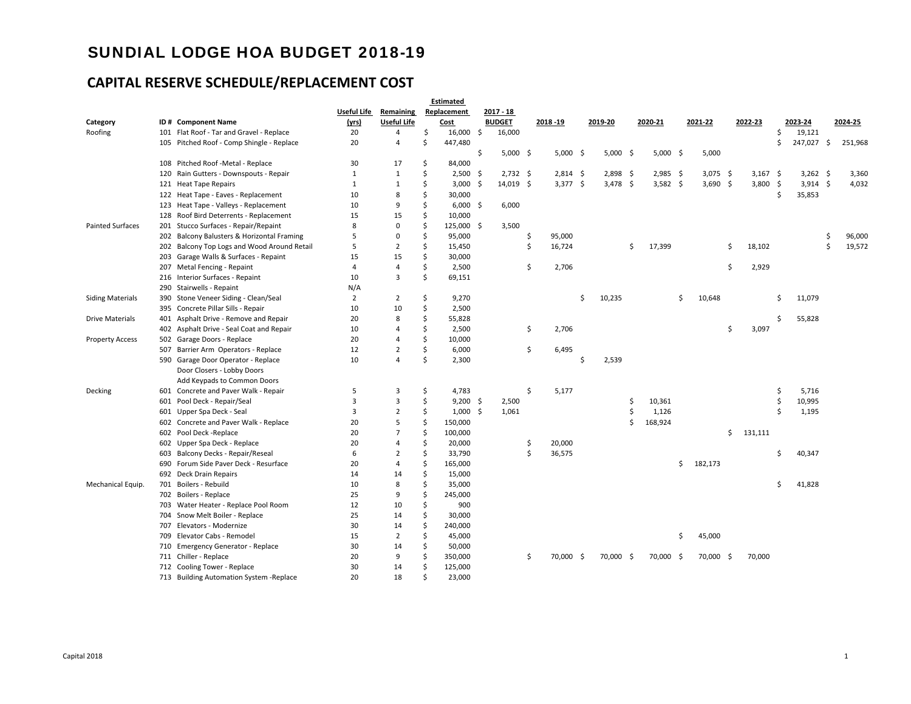# SUNDIAL LODGE HOA BUDGET 2018-19

# **CAPITAL RESERVE SCHEDULE/REPLACEMENT COST**

|                         |     |                                           |                |                    |    | Estimated   |   |               |                 |   |            |    |            |               |    |            |               |            |              |
|-------------------------|-----|-------------------------------------------|----------------|--------------------|----|-------------|---|---------------|-----------------|---|------------|----|------------|---------------|----|------------|---------------|------------|--------------|
|                         |     |                                           | Useful Life    | Remaining          |    | Replacement |   | 2017 - 18     |                 |   |            |    |            |               |    |            |               |            |              |
| Category                |     | ID# Component Name                        | (yrs)          | <b>Useful Life</b> |    | Cost        |   | <b>BUDGET</b> | 2018 - 19       |   | 2019-20    |    | 2020-21    | 2021-22       |    | 2022-23    |               | 2023-24    | 2024-25      |
| Roofing                 |     | 101 Flat Roof - Tar and Gravel - Replace  | 20             | 4                  | Ś  | $16,000$ \$ |   | 16,000        |                 |   |            |    |            |               |    |            | Ś             | 19,121     |              |
|                         |     | 105 Pitched Roof - Comp Shingle - Replace | 20             | 4                  | \$ | 447,480     |   |               |                 |   |            |    |            |               |    |            | \$            | 247,027 \$ | 251,968      |
|                         |     |                                           |                |                    |    |             | Ŝ | $5,000$ \$    | $5,000$ \$      |   | $5,000$ \$ |    | $5,000$ \$ | 5,000         |    |            |               |            |              |
|                         | 108 | Pitched Roof -Metal - Replace             | 30             | 17                 | \$ | 84,000      |   |               |                 |   |            |    |            |               |    |            |               |            |              |
|                         | 120 | Rain Gutters - Downspouts - Repair        | 1              | 1                  | \$ | $2,500$ \$  |   | $2,732$ \$    | $2,814$ \$      |   | $2,898$ \$ |    | $2,985$ \$ | $3,075$ \$    |    | $3,167$ \$ |               | $3,262$ \$ | 3,360        |
|                         |     | 121 Heat Tape Repairs                     | $\mathbf{1}$   | $\mathbf{1}$       | Ś  | $3,000$ \$  |   | $14,019$ \$   | $3,377$ \$      |   | $3,478$ \$ |    | $3,582$ \$ | $3,690$ \$    |    | 3,800      | -\$           | $3,914$ \$ | 4,032        |
|                         |     | 122 Heat Tape - Eaves - Replacement       | 10             | 8                  | Ś  | 30,000      |   |               |                 |   |            |    |            |               |    |            | <sup>\$</sup> | 35,853     |              |
|                         |     | 123 Heat Tape - Valleys - Replacement     | 10             | 9                  | \$ | $6,000$ \$  |   | 6,000         |                 |   |            |    |            |               |    |            |               |            |              |
|                         | 128 | Roof Bird Deterrents - Replacement        | 15             | 15                 | \$ | 10,000      |   |               |                 |   |            |    |            |               |    |            |               |            |              |
| <b>Painted Surfaces</b> | 201 | Stucco Surfaces - Repair/Repaint          | 8              | 0                  | \$ | 125,000 \$  |   | 3,500         |                 |   |            |    |            |               |    |            |               |            |              |
|                         | 202 | Balcony Balusters & Horizontal Framing    | 5              | 0                  | \$ | 95,000      |   |               | \$<br>95,000    |   |            |    |            |               |    |            |               |            | \$<br>96,000 |
|                         | 202 | Balcony Top Logs and Wood Around Retail   | 5              | $\overline{2}$     | \$ | 15,450      |   |               | \$<br>16,724    |   |            | Ŝ. | 17,399     |               | Ŝ. | 18,102     |               |            | \$<br>19,572 |
|                         | 203 | Garage Walls & Surfaces - Repaint         | 15             | 15                 | Ś  | 30,000      |   |               |                 |   |            |    |            |               |    |            |               |            |              |
|                         | 207 | Metal Fencing - Repaint                   | 4              | 4                  | \$ | 2,500       |   |               | \$<br>2,706     |   |            |    |            |               | Ś  | 2,929      |               |            |              |
|                         | 216 | Interior Surfaces - Repaint               | 10             | 3                  | \$ | 69,151      |   |               |                 |   |            |    |            |               |    |            |               |            |              |
|                         | 290 | Stairwells - Repaint                      | N/A            |                    |    |             |   |               |                 |   |            |    |            |               |    |            |               |            |              |
| <b>Siding Materials</b> | 390 | Stone Veneer Siding - Clean/Seal          | $\overline{2}$ | $\overline{2}$     | \$ | 9,270       |   |               |                 | Ś | 10,235     |    |            | \$<br>10,648  |    |            | \$            | 11,079     |              |
|                         |     | 395 Concrete Pillar Sills - Repair        | 10             | 10                 | \$ | 2,500       |   |               |                 |   |            |    |            |               |    |            |               |            |              |
| <b>Drive Materials</b>  | 401 | Asphalt Drive - Remove and Repair         | 20             | 8                  | \$ | 55,828      |   |               |                 |   |            |    |            |               |    |            | Ś             | 55,828     |              |
|                         | 402 | Asphalt Drive - Seal Coat and Repair      | 10             | 4                  | \$ | 2,500       |   |               | \$<br>2,706     |   |            |    |            |               | Ŝ. | 3,097      |               |            |              |
| <b>Property Access</b>  |     | 502 Garage Doors - Replace                | 20             | 4                  | \$ | 10,000      |   |               |                 |   |            |    |            |               |    |            |               |            |              |
|                         | 507 | Barrier Arm Operators - Replace           | 12             | 2                  | \$ | 6,000       |   |               | \$<br>6,495     |   |            |    |            |               |    |            |               |            |              |
|                         |     | 590 Garage Door Operator - Replace        | 10             | 4                  | Ŝ  | 2,300       |   |               |                 | Ś | 2,539      |    |            |               |    |            |               |            |              |
|                         |     | Door Closers - Lobby Doors                |                |                    |    |             |   |               |                 |   |            |    |            |               |    |            |               |            |              |
|                         |     | Add Keypads to Common Doors               |                |                    |    |             |   |               |                 |   |            |    |            |               |    |            |               |            |              |
| Decking                 |     | 601 Concrete and Paver Walk - Repair      | 5              | 3                  | \$ | 4,783       |   |               | \$<br>5,177     |   |            |    |            |               |    |            | \$            | 5,716      |              |
|                         | 601 | Pool Deck - Repair/Seal                   | 3              | 3                  | Ś  | $9,200$ \$  |   | 2,500         |                 |   |            | Ś  | 10,361     |               |    |            | \$            | 10,995     |              |
|                         |     | 601 Upper Spa Deck - Seal                 | 3              | $\overline{2}$     | \$ | $1,000$ \$  |   | 1,061         |                 |   |            | Ś  | 1,126      |               |    |            | Ŝ.            | 1,195      |              |
|                         | 602 | Concrete and Paver Walk - Replace         | 20             | 5                  | \$ | 150,000     |   |               |                 |   |            | Ś  | 168,924    |               |    |            |               |            |              |
|                         | 602 | Pool Deck -Replace                        | 20             | $\overline{7}$     | Ś  | 100,000     |   |               |                 |   |            |    |            |               | \$ | 131,111    |               |            |              |
|                         |     | 602 Upper Spa Deck - Replace              | 20             | 4                  | \$ | 20,000      |   |               | \$<br>20,000    |   |            |    |            |               |    |            |               |            |              |
|                         | 603 | Balcony Decks - Repair/Reseal             | 6              | 2                  | \$ | 33,790      |   |               | \$<br>36,575    |   |            |    |            |               |    |            | Ŝ             | 40,347     |              |
|                         | 690 | Forum Side Paver Deck - Resurface         | 20             | 4                  | Ś  | 165,000     |   |               |                 |   |            |    |            | \$<br>182,173 |    |            |               |            |              |
|                         | 692 | Deck Drain Repairs                        | 14             | 14                 | \$ | 15,000      |   |               |                 |   |            |    |            |               |    |            |               |            |              |
| Mechanical Equip.       | 701 | Boilers - Rebuild                         | 10             | 8                  | \$ | 35,000      |   |               |                 |   |            |    |            |               |    |            | Ŝ             | 41,828     |              |
|                         |     | 702 Boilers - Replace                     | 25             | 9                  | \$ | 245,000     |   |               |                 |   |            |    |            |               |    |            |               |            |              |
|                         | 703 | Water Heater - Replace Pool Room          | 12             | 10                 | \$ | 900         |   |               |                 |   |            |    |            |               |    |            |               |            |              |
|                         | 704 | Snow Melt Boiler - Replace                | 25             | 14                 | \$ | 30,000      |   |               |                 |   |            |    |            |               |    |            |               |            |              |
|                         | 707 | Elevators - Modernize                     | 30             | 14                 | Ś  | 240,000     |   |               |                 |   |            |    |            |               |    |            |               |            |              |
|                         | 709 | Elevator Cabs - Remodel                   | 15             | $\overline{2}$     | Ś  | 45,000      |   |               |                 |   |            |    |            | \$<br>45,000  |    |            |               |            |              |
|                         |     | 710 Emergency Generator - Replace         | 30             | 14                 | \$ | 50,000      |   |               |                 |   |            |    |            |               |    |            |               |            |              |
|                         |     | 711 Chiller - Replace                     | 20             | 9                  | Ś  | 350,000     |   |               | \$<br>70,000 \$ |   | 70,000 \$  |    | 70,000 \$  | 70,000 \$     |    | 70,000     |               |            |              |
|                         |     | 712 Cooling Tower - Replace               | 30             | 14                 | Ś  | 125,000     |   |               |                 |   |            |    |            |               |    |            |               |            |              |
|                         |     | 713 Building Automation System - Replace  | 20             | 18                 |    | 23,000      |   |               |                 |   |            |    |            |               |    |            |               |            |              |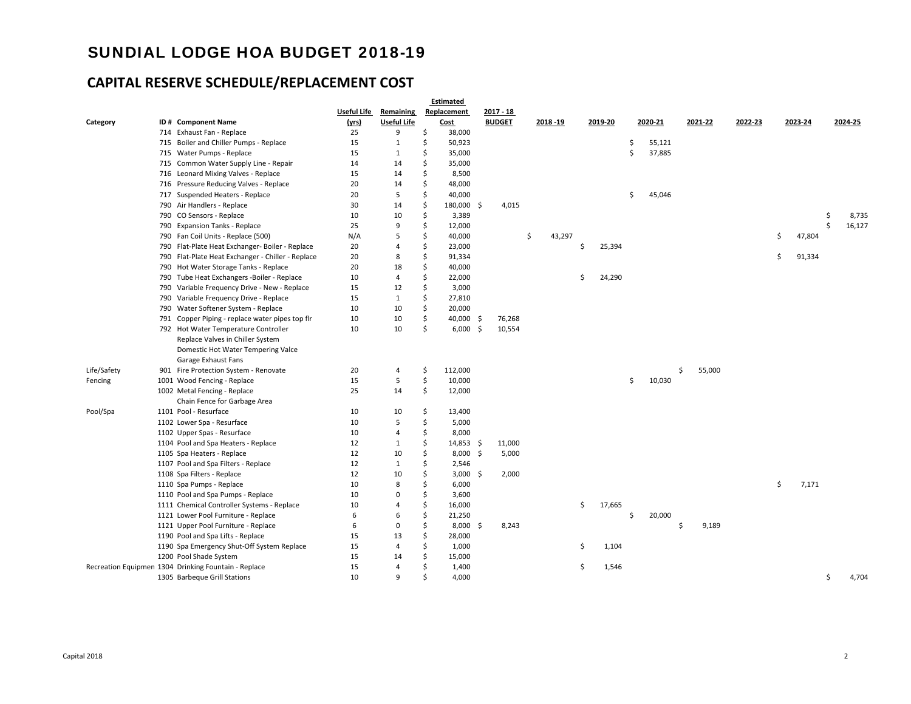# SUNDIAL LODGE HOA BUDGET 2018-19

# **CAPITAL RESERVE SCHEDULE/REPLACEMENT COST**

|             |     |                                                      |             |                    | Estimated         |     |               |              |    |         |    |         |              |         |    |         |    |         |
|-------------|-----|------------------------------------------------------|-------------|--------------------|-------------------|-----|---------------|--------------|----|---------|----|---------|--------------|---------|----|---------|----|---------|
|             |     |                                                      | Useful Life | Remaining          | Replacement       |     | 2017 - 18     |              |    |         |    |         |              |         |    |         |    |         |
| Category    |     | ID# Component Name                                   | (yrs)       | <b>Useful Life</b> | Cost              |     | <b>BUDGET</b> | 2018-19      |    | 2019-20 |    | 2020-21 | 2021-22      | 2022-23 |    | 2023-24 |    | 2024-25 |
|             |     | 714 Exhaust Fan - Replace                            | 25          | 9                  | \$<br>38,000      |     |               |              |    |         |    |         |              |         |    |         |    |         |
|             | 715 | Boiler and Chiller Pumps - Replace                   | 15          | $\mathbf{1}$       | \$<br>50,923      |     |               |              |    |         | Ŝ  | 55,121  |              |         |    |         |    |         |
|             |     | 715 Water Pumps - Replace                            | 15          | $\mathbf{1}$       | \$<br>35,000      |     |               |              |    |         | Ś. | 37,885  |              |         |    |         |    |         |
|             |     | 715 Common Water Supply Line - Repair                | 14          | 14                 | \$<br>35,000      |     |               |              |    |         |    |         |              |         |    |         |    |         |
|             |     | 716 Leonard Mixing Valves - Replace                  | 15          | 14                 | \$<br>8,500       |     |               |              |    |         |    |         |              |         |    |         |    |         |
|             |     | 716 Pressure Reducing Valves - Replace               | 20          | 14                 | \$<br>48,000      |     |               |              |    |         |    |         |              |         |    |         |    |         |
|             | 717 | Suspended Heaters - Replace                          | 20          | 5                  | \$<br>40,000      |     |               |              |    |         | \$ | 45,046  |              |         |    |         |    |         |
|             |     | 790 Air Handlers - Replace                           | 30          | 14                 | \$<br>180,000 \$  |     | 4,015         |              |    |         |    |         |              |         |    |         |    |         |
|             |     | 790 CO Sensors - Replace                             | 10          | 10                 | \$<br>3,389       |     |               |              |    |         |    |         |              |         |    |         | \$ | 8,735   |
|             |     | 790 Expansion Tanks - Replace                        | 25          | 9                  | \$<br>12,000      |     |               |              |    |         |    |         |              |         |    |         | Ś  | 16,127  |
|             |     | 790 Fan Coil Units - Replace (500)                   | N/A         | 5                  | \$<br>40,000      |     |               | \$<br>43,297 |    |         |    |         |              |         | \$ | 47,804  |    |         |
|             |     | 790 Flat-Plate Heat Exchanger- Boiler - Replace      | 20          | 4                  | \$<br>23,000      |     |               |              | Ŝ. | 25,394  |    |         |              |         |    |         |    |         |
|             |     | 790 Flat-Plate Heat Exchanger - Chiller - Replace    | 20          | 8                  | \$<br>91,334      |     |               |              |    |         |    |         |              |         | Ś  | 91,334  |    |         |
|             |     | 790 Hot Water Storage Tanks - Replace                | 20          | 18                 | \$<br>40,000      |     |               |              |    |         |    |         |              |         |    |         |    |         |
|             |     | 790 Tube Heat Exchangers -Boiler - Replace           | 10          | 4                  | \$<br>22,000      |     |               |              | \$ | 24,290  |    |         |              |         |    |         |    |         |
|             |     | 790 Variable Frequency Drive - New - Replace         | 15          | 12                 | \$<br>3,000       |     |               |              |    |         |    |         |              |         |    |         |    |         |
|             | 790 | Variable Frequency Drive - Replace                   | 15          | $\mathbf{1}$       | \$<br>27,810      |     |               |              |    |         |    |         |              |         |    |         |    |         |
|             |     | 790 Water Softener System - Replace                  | 10          | 10                 | \$<br>20,000      |     |               |              |    |         |    |         |              |         |    |         |    |         |
|             |     | 791 Copper Piping - replace water pipes top flr      | 10          | 10                 | \$<br>40,000 \$   |     | 76,268        |              |    |         |    |         |              |         |    |         |    |         |
|             |     | 792 Hot Water Temperature Controller                 | 10          | 10                 | \$<br>$6,000$ \$  |     | 10,554        |              |    |         |    |         |              |         |    |         |    |         |
|             |     | Replace Valves in Chiller System                     |             |                    |                   |     |               |              |    |         |    |         |              |         |    |         |    |         |
|             |     | Domestic Hot Water Tempering Valce                   |             |                    |                   |     |               |              |    |         |    |         |              |         |    |         |    |         |
|             |     | Garage Exhaust Fans                                  |             |                    |                   |     |               |              |    |         |    |         |              |         |    |         |    |         |
| Life/Safety |     | 901 Fire Protection System - Renovate                | 20          | 4                  | \$<br>112,000     |     |               |              |    |         |    |         | \$<br>55,000 |         |    |         |    |         |
| Fencing     |     | 1001 Wood Fencing - Replace                          | 15          | 5                  | \$<br>10,000      |     |               |              |    |         | \$ | 10,030  |              |         |    |         |    |         |
|             |     | 1002 Metal Fencing - Replace                         | 25          | 14                 | \$<br>12,000      |     |               |              |    |         |    |         |              |         |    |         |    |         |
|             |     | Chain Fence for Garbage Area                         |             |                    |                   |     |               |              |    |         |    |         |              |         |    |         |    |         |
| Pool/Spa    |     | 1101 Pool - Resurface                                | 10          | 10                 | \$<br>13,400      |     |               |              |    |         |    |         |              |         |    |         |    |         |
|             |     | 1102 Lower Spa - Resurface                           | 10          | 5                  | \$<br>5,000       |     |               |              |    |         |    |         |              |         |    |         |    |         |
|             |     | 1102 Upper Spas - Resurface                          | 10          | 4                  | \$<br>8,000       |     |               |              |    |         |    |         |              |         |    |         |    |         |
|             |     | 1104 Pool and Spa Heaters - Replace                  | 12          | $\mathbf{1}$       | \$<br>$14,853$ \$ |     | 11,000        |              |    |         |    |         |              |         |    |         |    |         |
|             |     | 1105 Spa Heaters - Replace                           | 12          | 10                 | \$<br>8,000       | -\$ | 5,000         |              |    |         |    |         |              |         |    |         |    |         |
|             |     | 1107 Pool and Spa Filters - Replace                  | 12          | $\mathbf{1}$       | \$<br>2,546       |     |               |              |    |         |    |         |              |         |    |         |    |         |
|             |     | 1108 Spa Filters - Replace                           | 12          | 10                 | \$<br>$3,000$ \$  |     | 2,000         |              |    |         |    |         |              |         |    |         |    |         |
|             |     | 1110 Spa Pumps - Replace                             | 10          | 8                  | \$<br>6,000       |     |               |              |    |         |    |         |              |         | \$ | 7,171   |    |         |
|             |     | 1110 Pool and Spa Pumps - Replace                    | 10          | 0                  | \$<br>3,600       |     |               |              |    |         |    |         |              |         |    |         |    |         |
|             |     | 1111 Chemical Controller Systems - Replace           | 10          | 4                  | \$<br>16,000      |     |               |              | \$ | 17,665  |    |         |              |         |    |         |    |         |
|             |     | 1121 Lower Pool Furniture - Replace                  | 6           | 6                  | \$<br>21,250      |     |               |              |    |         | Ŝ  | 20,000  |              |         |    |         |    |         |
|             |     | 1121 Upper Pool Furniture - Replace                  | 6           | 0                  | \$<br>8,000       | -S  | 8,243         |              |    |         |    |         | \$<br>9,189  |         |    |         |    |         |
|             |     | 1190 Pool and Spa Lifts - Replace                    | 15          | 13                 | \$<br>28,000      |     |               |              |    |         |    |         |              |         |    |         |    |         |
|             |     | 1190 Spa Emergency Shut-Off System Replace           | 15          | 4                  | \$<br>1,000       |     |               |              | \$ | 1,104   |    |         |              |         |    |         |    |         |
|             |     | 1200 Pool Shade System                               | 15          | 14                 | \$<br>15,000      |     |               |              |    |         |    |         |              |         |    |         |    |         |
|             |     | Recreation Equipmen 1304 Drinking Fountain - Replace | 15          | $\overline{4}$     | \$<br>1,400       |     |               |              | \$ | 1,546   |    |         |              |         |    |         |    |         |
|             |     | 1305 Barbeque Grill Stations                         | 10          | 9                  | \$<br>4,000       |     |               |              |    |         |    |         |              |         |    |         | \$ | 4,704   |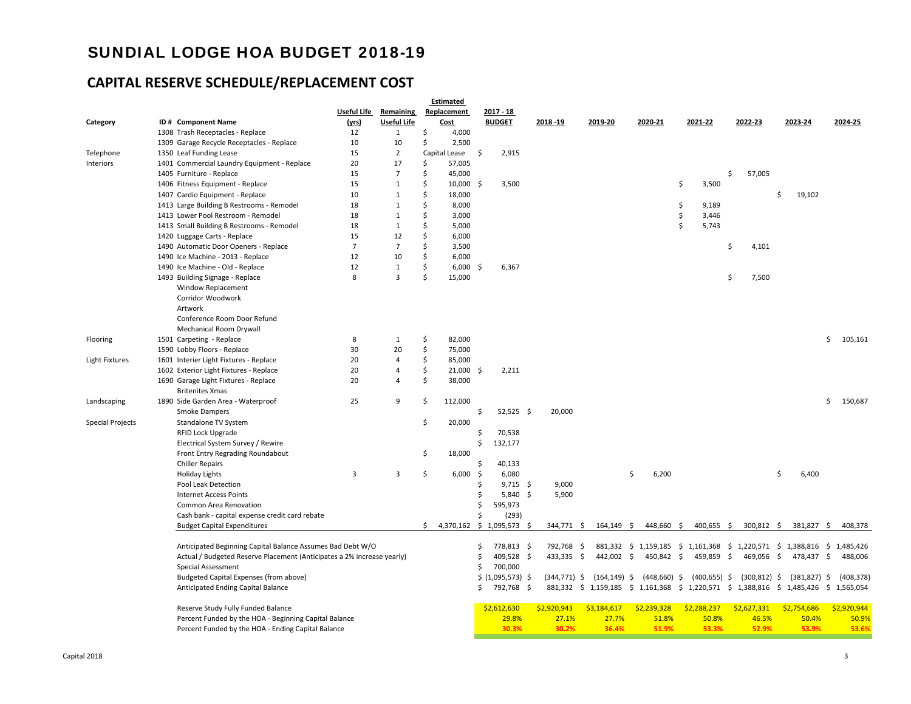# SUNDIAL LODGE HOA BUDGET 2018-19

# **CAPITAL RESERVE SCHEDULE/REPLACEMENT COST**

|                         |                                                                        |                |                |    | Estimated     |      |                               |     |                 |                 |   |                |    |                                      |    |                                                               |   |                                     |               |
|-------------------------|------------------------------------------------------------------------|----------------|----------------|----|---------------|------|-------------------------------|-----|-----------------|-----------------|---|----------------|----|--------------------------------------|----|---------------------------------------------------------------|---|-------------------------------------|---------------|
|                         |                                                                        | Useful Life    | Remaining      |    | Replacement   |      | 2017 - 18                     |     |                 |                 |   |                |    |                                      |    |                                                               |   |                                     |               |
| Category                | ID# Component Name                                                     | (yrs)          | Useful Life    |    | <b>Cost</b>   |      | <b>BUDGET</b>                 |     | 2018 - 19       | 2019-20         |   | 2020-21        |    | 2021-22                              |    | 2022-23                                                       |   | 2023-24                             | 2024-25       |
|                         | 1308 Trash Receptacles - Replace                                       | 12             | 1              | \$ | 4,000         |      |                               |     |                 |                 |   |                |    |                                      |    |                                                               |   |                                     |               |
|                         | 1309 Garage Recycle Receptacles - Replace                              | 10             | 10             | \$ | 2,500         |      |                               |     |                 |                 |   |                |    |                                      |    |                                                               |   |                                     |               |
| Telephone               | 1350 Leaf Funding Lease                                                | 15             | $\overline{2}$ |    | Capital Lease | - \$ | 2,915                         |     |                 |                 |   |                |    |                                      |    |                                                               |   |                                     |               |
| Interiors               | 1401 Commercial Laundry Equipment - Replace                            | 20             | 17             | Ś  | 57,005        |      |                               |     |                 |                 |   |                |    |                                      |    |                                                               |   |                                     |               |
|                         | 1405 Furniture - Replace                                               | 15             | $\overline{7}$ | Ś  | 45,000        |      |                               |     |                 |                 |   |                |    |                                      | Ś  | 57,005                                                        |   |                                     |               |
|                         | 1406 Fitness Equipment - Replace                                       | 15             | $\mathbf{1}$   | Ś  | 10,000        | -\$  | 3,500                         |     |                 |                 |   |                | \$ | 3,500                                |    |                                                               |   |                                     |               |
|                         | 1407 Cardio Equipment - Replace                                        | 10             | $\mathbf{1}$   | Ś  | 18,000        |      |                               |     |                 |                 |   |                |    |                                      |    |                                                               | Ś | 19,102                              |               |
|                         | 1413 Large Building B Restrooms - Remodel                              | 18             | $\mathbf{1}$   | Ś  | 8,000         |      |                               |     |                 |                 |   |                | \$ | 9,189                                |    |                                                               |   |                                     |               |
|                         | 1413 Lower Pool Restroom - Remodel                                     | 18             | $\mathbf{1}$   | \$ | 3,000         |      |                               |     |                 |                 |   |                | \$ | 3,446                                |    |                                                               |   |                                     |               |
|                         | 1413 Small Building B Restrooms - Remodel                              | 18             | $\mathbf{1}$   | Ś  | 5,000         |      |                               |     |                 |                 |   |                | Š. | 5,743                                |    |                                                               |   |                                     |               |
|                         | 1420 Luggage Carts - Replace                                           | 15             | 12             | Ś  | 6,000         |      |                               |     |                 |                 |   |                |    |                                      |    |                                                               |   |                                     |               |
|                         | 1490 Automatic Door Openers - Replace                                  | $\overline{7}$ | $\overline{7}$ | Ś  | 3,500         |      |                               |     |                 |                 |   |                |    |                                      | \$ | 4,101                                                         |   |                                     |               |
|                         | 1490 Ice Machine - 2013 - Replace                                      | 12             | 10             | Ś  | 6,000         |      |                               |     |                 |                 |   |                |    |                                      |    |                                                               |   |                                     |               |
|                         | 1490 Ice Machine - Old - Replace                                       | 12             | $\mathbf{1}$   | Ś  | $6,000$ \$    |      | 6,367                         |     |                 |                 |   |                |    |                                      |    |                                                               |   |                                     |               |
|                         | 1493 Building Signage - Replace                                        | 8              | 3              | Ś  | 15,000        |      |                               |     |                 |                 |   |                |    |                                      | \$ | 7,500                                                         |   |                                     |               |
|                         | Window Replacement                                                     |                |                |    |               |      |                               |     |                 |                 |   |                |    |                                      |    |                                                               |   |                                     |               |
|                         | Corridor Woodwork                                                      |                |                |    |               |      |                               |     |                 |                 |   |                |    |                                      |    |                                                               |   |                                     |               |
|                         | Artwork                                                                |                |                |    |               |      |                               |     |                 |                 |   |                |    |                                      |    |                                                               |   |                                     |               |
|                         | Conference Room Door Refund                                            |                |                |    |               |      |                               |     |                 |                 |   |                |    |                                      |    |                                                               |   |                                     |               |
|                         | Mechanical Room Drywall                                                |                |                |    |               |      |                               |     |                 |                 |   |                |    |                                      |    |                                                               |   |                                     |               |
| Flooring                | 1501 Carpeting - Replace                                               | 8              | 1              | \$ | 82,000        |      |                               |     |                 |                 |   |                |    |                                      |    |                                                               |   |                                     | \$<br>105,161 |
|                         | 1590 Lobby Floors - Replace                                            | 30             | 20             | Ś  | 75,000        |      |                               |     |                 |                 |   |                |    |                                      |    |                                                               |   |                                     |               |
| Light Fixtures          | 1601 Interier Light Fixtures - Replace                                 | 20             | $\overline{4}$ | \$ | 85,000        |      |                               |     |                 |                 |   |                |    |                                      |    |                                                               |   |                                     |               |
|                         | 1602 Exterior Light Fixtures - Replace                                 | 20             | 4              | Ś  | 21,000        | -\$  | 2,211                         |     |                 |                 |   |                |    |                                      |    |                                                               |   |                                     |               |
|                         | 1690 Garage Light Fixtures - Replace                                   | 20             | 4              | \$ | 38,000        |      |                               |     |                 |                 |   |                |    |                                      |    |                                                               |   |                                     |               |
|                         | <b>Britenites Xmas</b>                                                 |                |                |    |               |      |                               |     |                 |                 |   |                |    |                                      |    |                                                               |   |                                     |               |
| Landscaping             | 1890 Side Garden Area - Waterproof                                     | 25             | 9              | \$ | 112,000       |      |                               |     |                 |                 |   |                |    |                                      |    |                                                               |   |                                     | \$150,687     |
|                         | Smoke Dampers                                                          |                |                |    |               | \$   | $52,525$ \$                   |     | 20,000          |                 |   |                |    |                                      |    |                                                               |   |                                     |               |
| <b>Special Projects</b> | Standalone TV System                                                   |                |                | \$ | 20,000        |      |                               |     |                 |                 |   |                |    |                                      |    |                                                               |   |                                     |               |
|                         | RFID Lock Upgrade                                                      |                |                |    |               | \$   | 70,538                        |     |                 |                 |   |                |    |                                      |    |                                                               |   |                                     |               |
|                         | Electrical System Survey / Rewire                                      |                |                |    |               | \$   | 132,177                       |     |                 |                 |   |                |    |                                      |    |                                                               |   |                                     |               |
|                         | Front Entry Regrading Roundabout                                       |                |                | \$ | 18,000        |      |                               |     |                 |                 |   |                |    |                                      |    |                                                               |   |                                     |               |
|                         | <b>Chiller Repairs</b>                                                 |                |                |    |               | \$   | 40,133                        |     |                 |                 |   |                |    |                                      |    |                                                               |   |                                     |               |
|                         | <b>Holiday Lights</b>                                                  | 3              | 3              | \$ | 6,000         | \$   | 6,080                         |     |                 |                 | Ś | 6,200          |    |                                      |    |                                                               | Ś | 6,400                               |               |
|                         | Pool Leak Detection                                                    |                |                |    |               | Ś    | $9,715$ \$                    |     | 9,000           |                 |   |                |    |                                      |    |                                                               |   |                                     |               |
|                         | <b>Internet Access Points</b>                                          |                |                |    |               | \$   | $5,840$ \$                    |     | 5,900           |                 |   |                |    |                                      |    |                                                               |   |                                     |               |
|                         | Common Area Renovation                                                 |                |                |    |               | Ś    | 595,973                       |     |                 |                 |   |                |    |                                      |    |                                                               |   |                                     |               |
|                         | Cash bank - capital expense credit card rebate                         |                |                |    |               | Ś    | (293)                         |     |                 |                 |   |                |    |                                      |    |                                                               |   |                                     |               |
|                         |                                                                        |                |                |    |               |      | $$4,370,162$$ \$ 1,095,573 \$ |     | 344,771 \$      | 164,149 \$      |   | 448,660 \$     |    |                                      |    | 300,812 \$                                                    |   | 381,827 \$                          |               |
|                         | <b>Budget Capital Expenditures</b>                                     |                |                |    |               |      |                               |     |                 |                 |   |                |    | 400,655 \$                           |    |                                                               |   |                                     | 408,378       |
|                         | Anticipated Beginning Capital Balance Assumes Bad Debt W/O             |                |                |    |               | Ś    | 778,813 \$                    |     | 792,768 \$      |                 |   |                |    |                                      |    |                                                               |   | 1,220,571 \$ 1,388,816 \$ 1,485,426 |               |
|                         |                                                                        |                |                |    |               | Ś    |                               |     |                 |                 |   |                |    | 881,332 \$ 1,159,185 \$ 1,161,368 \$ |    |                                                               |   |                                     |               |
|                         | Actual / Budgeted Reserve Placement (Anticipates a 2% increase yearly) |                |                |    |               | \$   | 409,528 \$<br>700,000         |     | 433,335 \$      | 442,002 \$      |   | 450,842 \$     |    | 459,859 \$                           |    | 469,056 \$                                                    |   | 478,437 \$                          | 488,006       |
|                         | Special Assessment                                                     |                |                |    |               |      |                               |     | $(344, 771)$ \$ | $(164, 149)$ \$ |   | $(448,660)$ \$ |    |                                      |    | $(300, 812)$ \$                                               |   | $(381, 827)$ \$                     | (408, 378)    |
|                         | Budgeted Capital Expenses (from above)                                 |                |                |    |               |      | \$ (1,095,573) \$             |     |                 |                 |   |                |    | $(400, 655)$ \$                      |    |                                                               |   |                                     |               |
|                         | Anticipated Ending Capital Balance                                     |                |                |    |               | \$   | 792,768                       | -\$ | 881,332 \$      |                 |   |                |    |                                      |    | 1,159,185 \$ 1,161,368 \$ 1,220,571 \$ 1,388,816 \$ 1,485,426 |   |                                     | \$1,565,054   |
|                         | Reserve Study Fully Funded Balance                                     |                |                |    |               |      | \$2,612,630                   |     | \$2,920,943     | \$3,184,617     |   | \$2,239,328    |    | \$2,288,237                          |    | \$2,627,331                                                   |   | \$2,754,686                         | \$2,920,944   |
|                         | Percent Funded by the HOA - Beginning Capital Balance                  |                |                |    |               |      | 29.8%                         |     | 27.1%           | 27.7%           |   | 51.8%          |    | 50.8%                                |    | 46.5%                                                         |   | 50.4%                               | 50.9%         |
|                         |                                                                        |                |                |    |               |      | 30.3%                         |     | 30.2%           | 36.4%           |   | 51.9%          |    | 53.3%                                |    | 52.9%                                                         |   | 53.9%                               | 53.6%         |
|                         | Percent Funded by the HOA - Ending Capital Balance                     |                |                |    |               |      |                               |     |                 |                 |   |                |    |                                      |    |                                                               |   |                                     |               |